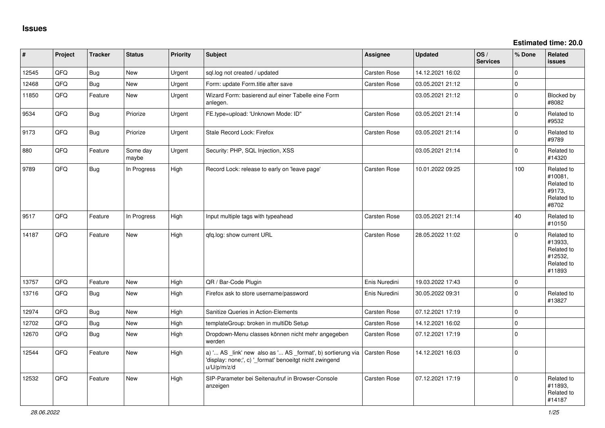| #     | Project | <b>Tracker</b> | <b>Status</b>     | <b>Priority</b> | <b>Subject</b>                                                                                                                        | Assignee            | <b>Updated</b>   | OS/<br><b>Services</b> | % Done       | Related<br><b>issues</b>                                               |
|-------|---------|----------------|-------------------|-----------------|---------------------------------------------------------------------------------------------------------------------------------------|---------------------|------------------|------------------------|--------------|------------------------------------------------------------------------|
| 12545 | QFQ     | <b>Bug</b>     | <b>New</b>        | Urgent          | sql.log not created / updated                                                                                                         | <b>Carsten Rose</b> | 14.12.2021 16:02 |                        | $\mathbf{0}$ |                                                                        |
| 12468 | QFQ     | Bug            | <b>New</b>        | Urgent          | Form: update Form.title after save                                                                                                    | Carsten Rose        | 03.05.2021 21:12 |                        | $\pmb{0}$    |                                                                        |
| 11850 | QFQ     | Feature        | <b>New</b>        | Urgent          | Wizard Form: basierend auf einer Tabelle eine Form<br>anlegen.                                                                        |                     | 03.05.2021 21:12 |                        | $\Omega$     | Blocked by<br>#8082                                                    |
| 9534  | QFQ     | Bug            | Priorize          | Urgent          | FE.type=upload: 'Unknown Mode: ID"                                                                                                    | <b>Carsten Rose</b> | 03.05.2021 21:14 |                        | $\mathbf 0$  | Related to<br>#9532                                                    |
| 9173  | QFQ     | Bug            | Priorize          | Urgent          | Stale Record Lock: Firefox                                                                                                            | Carsten Rose        | 03.05.2021 21:14 |                        | $\mathbf{0}$ | Related to<br>#9789                                                    |
| 880   | QFQ     | Feature        | Some day<br>maybe | Urgent          | Security: PHP, SQL Injection, XSS                                                                                                     |                     | 03.05.2021 21:14 |                        | $\mathbf{0}$ | Related to<br>#14320                                                   |
| 9789  | QFQ     | Bug            | In Progress       | High            | Record Lock: release to early on 'leave page'                                                                                         | <b>Carsten Rose</b> | 10.01.2022 09:25 |                        | 100          | Related to<br>#10081,<br>Related to<br>#9173,<br>Related to<br>#8702   |
| 9517  | QFQ     | Feature        | In Progress       | High            | Input multiple tags with typeahead                                                                                                    | Carsten Rose        | 03.05.2021 21:14 |                        | 40           | Related to<br>#10150                                                   |
| 14187 | QFQ     | Feature        | <b>New</b>        | High            | qfq.log: show current URL                                                                                                             | Carsten Rose        | 28.05.2022 11:02 |                        | $\mathbf 0$  | Related to<br>#13933,<br>Related to<br>#12532,<br>Related to<br>#11893 |
| 13757 | QFQ     | Feature        | <b>New</b>        | High            | QR / Bar-Code Plugin                                                                                                                  | Enis Nuredini       | 19.03.2022 17:43 |                        | $\pmb{0}$    |                                                                        |
| 13716 | QFQ     | <b>Bug</b>     | <b>New</b>        | High            | Firefox ask to store username/password                                                                                                | Enis Nuredini       | 30.05.2022 09:31 |                        | $\mathbf{0}$ | Related to<br>#13827                                                   |
| 12974 | QFQ     | Bug            | New               | High            | Sanitize Queries in Action-Elements                                                                                                   | Carsten Rose        | 07.12.2021 17:19 |                        | $\mathbf{0}$ |                                                                        |
| 12702 | QFQ     | <b>Bug</b>     | New               | High            | templateGroup: broken in multiDb Setup                                                                                                | Carsten Rose        | 14.12.2021 16:02 |                        | $\mathsf 0$  |                                                                        |
| 12670 | QFQ     | Bug            | <b>New</b>        | High            | Dropdown-Menu classes können nicht mehr angegeben<br>werden                                                                           | <b>Carsten Rose</b> | 07.12.2021 17:19 |                        | $\mathbf 0$  |                                                                        |
| 12544 | QFQ     | Feature        | <b>New</b>        | High            | a) ' AS _link' new also as ' AS _format', b) sortierung via<br>'display: none;', c) '_format' benoeitgt nicht zwingend<br>u/U/p/m/z/d | Carsten Rose        | 14.12.2021 16:03 |                        | $\mathbf 0$  |                                                                        |
| 12532 | QFQ     | Feature        | New               | High            | SIP-Parameter bei Seitenaufruf in Browser-Console<br>anzeigen                                                                         | <b>Carsten Rose</b> | 07.12.2021 17:19 |                        | $\mathbf 0$  | Related to<br>#11893,<br>Related to<br>#14187                          |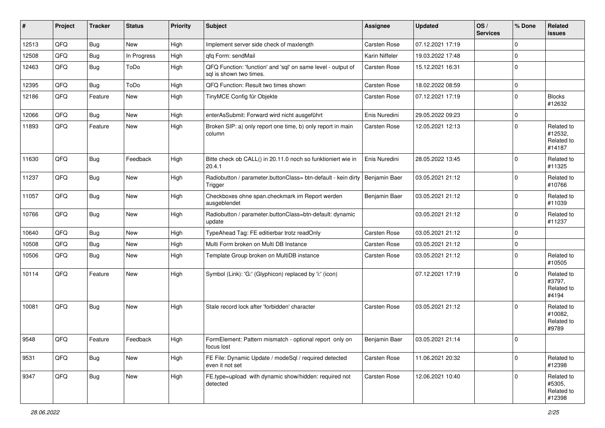| #     | Project | <b>Tracker</b> | <b>Status</b> | <b>Priority</b> | <b>Subject</b>                                                                          | <b>Assignee</b> | <b>Updated</b>   | OS/<br><b>Services</b> | % Done      | Related<br><b>issues</b>                      |
|-------|---------|----------------|---------------|-----------------|-----------------------------------------------------------------------------------------|-----------------|------------------|------------------------|-------------|-----------------------------------------------|
| 12513 | QFQ     | Bug            | <b>New</b>    | High            | Implement server side check of maxlength                                                | Carsten Rose    | 07.12.2021 17:19 |                        | $\mathbf 0$ |                                               |
| 12508 | QFQ     | Bug            | In Progress   | High            | gfg Form: sendMail                                                                      | Karin Niffeler  | 19.03.2022 17:48 |                        | $\Omega$    |                                               |
| 12463 | QFQ     | <b>Bug</b>     | ToDo          | High            | QFQ Function: 'function' and 'sql' on same level - output of<br>sal is shown two times. | Carsten Rose    | 15.12.2021 16:31 |                        | $\mathbf 0$ |                                               |
| 12395 | QFQ     | <b>Bug</b>     | ToDo          | High            | QFQ Function: Result two times shown                                                    | Carsten Rose    | 18.02.2022 08:59 |                        | $\mathbf 0$ |                                               |
| 12186 | QFQ     | Feature        | New           | High            | TinyMCE Config für Objekte                                                              | Carsten Rose    | 07.12.2021 17:19 |                        | $\Omega$    | <b>Blocks</b><br>#12632                       |
| 12066 | QFQ     | Bug            | <b>New</b>    | High            | enterAsSubmit: Forward wird nicht ausgeführt                                            | Enis Nuredini   | 29.05.2022 09:23 |                        | $\mathbf 0$ |                                               |
| 11893 | QFQ     | Feature        | <b>New</b>    | High            | Broken SIP: a) only report one time, b) only report in main<br>column                   | Carsten Rose    | 12.05.2021 12:13 |                        | $\Omega$    | Related to<br>#12532,<br>Related to<br>#14187 |
| 11630 | QFQ     | Bug            | Feedback      | High            | Bitte check ob CALL() in 20.11.0 noch so funktioniert wie in<br>20.4.1                  | Enis Nuredini   | 28.05.2022 13:45 |                        | $\mathbf 0$ | Related to<br>#11325                          |
| 11237 | QFQ     | Bug            | New           | High            | Radiobutton / parameter.buttonClass= btn-default - kein dirty<br>Trigger                | Benjamin Baer   | 03.05.2021 21:12 |                        | $\mathbf 0$ | Related to<br>#10766                          |
| 11057 | QFQ     | Bug            | New           | High            | Checkboxes ohne span.checkmark im Report werden<br>ausgeblendet                         | Benjamin Baer   | 03.05.2021 21:12 |                        | $\Omega$    | Related to<br>#11039                          |
| 10766 | QFQ     | Bug            | <b>New</b>    | High            | Radiobutton / parameter.buttonClass=btn-default: dynamic<br>update                      |                 | 03.05.2021 21:12 |                        | $\mathbf 0$ | Related to<br>#11237                          |
| 10640 | QFQ     | <b>Bug</b>     | <b>New</b>    | High            | TypeAhead Tag: FE editierbar trotz readOnly                                             | Carsten Rose    | 03.05.2021 21:12 |                        | $\mathbf 0$ |                                               |
| 10508 | QFQ     | Bug            | <b>New</b>    | High            | Multi Form broken on Multi DB Instance                                                  | Carsten Rose    | 03.05.2021 21:12 |                        | $\mathbf 0$ |                                               |
| 10506 | QFQ     | Bug            | <b>New</b>    | High            | Template Group broken on MultiDB instance                                               | Carsten Rose    | 03.05.2021 21:12 |                        | $\mathbf 0$ | Related to<br>#10505                          |
| 10114 | QFQ     | Feature        | <b>New</b>    | High            | Symbol (Link): 'G:' (Glyphicon) replaced by 'i:' (icon)                                 |                 | 07.12.2021 17:19 |                        | $\mathbf 0$ | Related to<br>#3797,<br>Related to<br>#4194   |
| 10081 | QFQ     | Bug            | <b>New</b>    | High            | Stale record lock after 'forbidden' character                                           | Carsten Rose    | 03.05.2021 21:12 |                        | $\Omega$    | Related to<br>#10082,<br>Related to<br>#9789  |
| 9548  | QFQ     | Feature        | Feedback      | High            | FormElement: Pattern mismatch - optional report only on<br>focus lost                   | Benjamin Baer   | 03.05.2021 21:14 |                        | $\Omega$    |                                               |
| 9531  | QFQ     | <b>Bug</b>     | New           | High            | FE File: Dynamic Update / modeSql / required detected<br>even it not set                | Carsten Rose    | 11.06.2021 20:32 |                        | $\mathbf 0$ | Related to<br>#12398                          |
| 9347  | QFQ     | <b>Bug</b>     | New           | High            | FE.type=upload with dynamic show/hidden: required not<br>detected                       | Carsten Rose    | 12.06.2021 10:40 |                        | $\mathbf 0$ | Related to<br>#5305,<br>Related to<br>#12398  |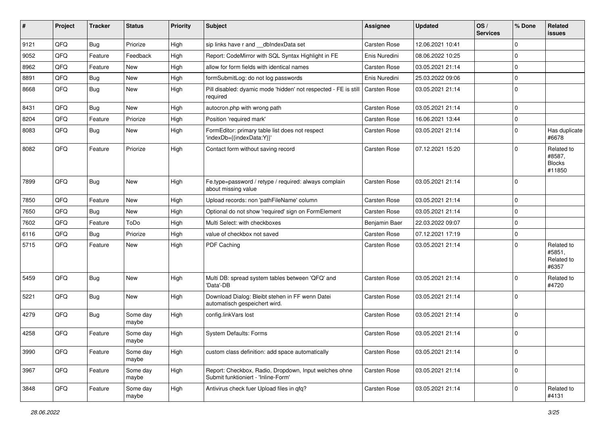| ∦    | Project | <b>Tracker</b> | <b>Status</b>     | <b>Priority</b> | <b>Subject</b>                                                                               | <b>Assignee</b> | <b>Updated</b>   | OS/<br><b>Services</b> | % Done      | <b>Related</b><br>issues                        |
|------|---------|----------------|-------------------|-----------------|----------------------------------------------------------------------------------------------|-----------------|------------------|------------------------|-------------|-------------------------------------------------|
| 9121 | QFQ     | <b>Bug</b>     | Priorize          | High            | sip links have r and __dbIndexData set                                                       | Carsten Rose    | 12.06.2021 10:41 |                        | $\Omega$    |                                                 |
| 9052 | QFQ     | Feature        | Feedback          | High            | Report: CodeMirror with SQL Syntax Highlight in FE                                           | Enis Nuredini   | 08.06.2022 10:25 |                        | $\Omega$    |                                                 |
| 8962 | QFQ     | Feature        | <b>New</b>        | High            | allow for form fields with identical names                                                   | Carsten Rose    | 03.05.2021 21:14 |                        | $\Omega$    |                                                 |
| 8891 | QFQ     | Bug            | New               | High            | formSubmitLog: do not log passwords                                                          | Enis Nuredini   | 25.03.2022 09:06 |                        | $\Omega$    |                                                 |
| 8668 | QFQ     | <b>Bug</b>     | <b>New</b>        | High            | Pill disabled: dyamic mode 'hidden' not respected - FE is still<br>required                  | Carsten Rose    | 03.05.2021 21:14 |                        | $\Omega$    |                                                 |
| 8431 | QFQ     | <b>Bug</b>     | New               | High            | autocron.php with wrong path                                                                 | Carsten Rose    | 03.05.2021 21:14 |                        | $\Omega$    |                                                 |
| 8204 | QFQ     | Feature        | Priorize          | High            | Position 'required mark'                                                                     | Carsten Rose    | 16.06.2021 13:44 |                        | $\Omega$    |                                                 |
| 8083 | QFQ     | <b>Bug</b>     | New               | High            | FormEditor: primary table list does not respect<br>'indexDb={{indexData:Y}}'                 | Carsten Rose    | 03.05.2021 21:14 |                        | $\Omega$    | Has duplicate<br>#6678                          |
| 8082 | QFQ     | Feature        | Priorize          | High            | Contact form without saving record                                                           | Carsten Rose    | 07.12.2021 15:20 |                        | $\Omega$    | Related to<br>#8587,<br><b>Blocks</b><br>#11850 |
| 7899 | QFQ     | <b>Bug</b>     | New               | High            | Fe.type=password / retype / required: always complain<br>about missing value                 | Carsten Rose    | 03.05.2021 21:14 |                        | $\Omega$    |                                                 |
| 7850 | QFQ     | Feature        | <b>New</b>        | High            | Upload records: non 'pathFileName' column                                                    | Carsten Rose    | 03.05.2021 21:14 |                        | $\Omega$    |                                                 |
| 7650 | QFQ     | <b>Bug</b>     | New               | High            | Optional do not show 'required' sign on FormElement                                          | Carsten Rose    | 03.05.2021 21:14 |                        | $\Omega$    |                                                 |
| 7602 | QFQ     | Feature        | ToDo              | High            | Multi Select: with checkboxes                                                                | Benjamin Baer   | 22.03.2022 09:07 |                        | $\Omega$    |                                                 |
| 6116 | QFQ     | <b>Bug</b>     | Priorize          | High            | value of checkbox not saved                                                                  | Carsten Rose    | 07.12.2021 17:19 |                        | $\Omega$    |                                                 |
| 5715 | QFQ     | Feature        | New               | High            | PDF Caching                                                                                  | Carsten Rose    | 03.05.2021 21:14 |                        | $\Omega$    | Related to<br>#5851,<br>Related to<br>#6357     |
| 5459 | QFQ     | <b>Bug</b>     | <b>New</b>        | High            | Multi DB: spread system tables between 'QFQ' and<br>'Data'-DB                                | Carsten Rose    | 03.05.2021 21:14 |                        | $\Omega$    | Related to<br>#4720                             |
| 5221 | QFQ     | <b>Bug</b>     | New               | High            | Download Dialog: Bleibt stehen in FF wenn Datei<br>automatisch gespeichert wird.             | Carsten Rose    | 03.05.2021 21:14 |                        | $\Omega$    |                                                 |
| 4279 | QFQ     | <b>Bug</b>     | Some day<br>maybe | High            | config.linkVars lost                                                                         | Carsten Rose    | 03.05.2021 21:14 |                        | $\Omega$    |                                                 |
| 4258 | QFQ     | Feature        | Some day<br>maybe | High            | <b>System Defaults: Forms</b>                                                                | Carsten Rose    | 03.05.2021 21:14 |                        | $\Omega$    |                                                 |
| 3990 | QFQ     | Feature        | Some day<br>maybe | High            | custom class definition: add space automatically                                             | Carsten Rose    | 03.05.2021 21:14 |                        | 0           |                                                 |
| 3967 | QFQ     | Feature        | Some day<br>maybe | High            | Report: Checkbox, Radio, Dropdown, Input welches ohne<br>Submit funktioniert - 'Inline-Form' | Carsten Rose    | 03.05.2021 21:14 |                        | $\mathbf 0$ |                                                 |
| 3848 | QFQ     | Feature        | Some day<br>maybe | High            | Antivirus check fuer Upload files in qfq?                                                    | Carsten Rose    | 03.05.2021 21:14 |                        | 0           | Related to<br>#4131                             |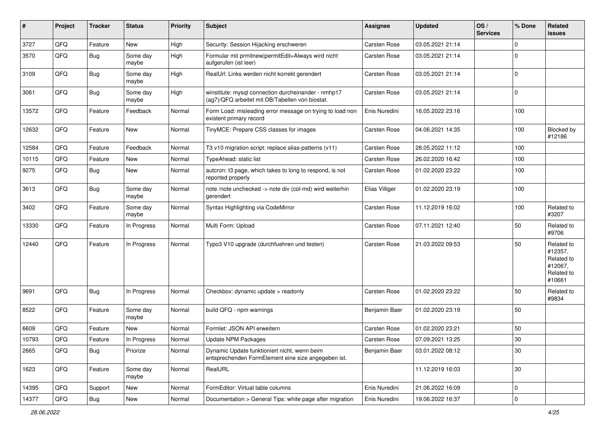| #     | Project | <b>Tracker</b> | <b>Status</b>     | <b>Priority</b> | <b>Subject</b>                                                                                         | Assignee       | <b>Updated</b>   | OS/<br><b>Services</b> | % Done      | <b>Related</b><br>issues                                               |
|-------|---------|----------------|-------------------|-----------------|--------------------------------------------------------------------------------------------------------|----------------|------------------|------------------------|-------------|------------------------------------------------------------------------|
| 3727  | QFQ     | Feature        | <b>New</b>        | High            | Security: Session Hijacking erschweren                                                                 | Carsten Rose   | 03.05.2021 21:14 |                        | $\Omega$    |                                                                        |
| 3570  | QFQ     | Bug            | Some day<br>maybe | High            | Formular mit prmitnew permitEdit=Always wird nicht<br>aufgerufen (ist leer)                            | Carsten Rose   | 03.05.2021 21:14 |                        | $\Omega$    |                                                                        |
| 3109  | QFQ     | Bug            | Some day<br>maybe | High            | RealUrl: Links werden nicht korrekt gerendert                                                          | Carsten Rose   | 03.05.2021 21:14 |                        | $\mathbf 0$ |                                                                        |
| 3061  | QFQ     | Bug            | Some day<br>maybe | High            | winstitute: mysql connection durcheinander - nmhp17<br>(ag7)/QFQ arbeitet mit DB/Tabellen von biostat. | Carsten Rose   | 03.05.2021 21:14 |                        | $\mathbf 0$ |                                                                        |
| 13572 | QFQ     | Feature        | Feedback          | Normal          | Form Load: misleading error message on trying to load non<br>existent primary record                   | Enis Nuredini  | 16.05.2022 23:16 |                        | 100         |                                                                        |
| 12632 | QFQ     | Feature        | <b>New</b>        | Normal          | TinyMCE: Prepare CSS classes for images                                                                | Carsten Rose   | 04.06.2021 14:35 |                        | 100         | Blocked by<br>#12186                                                   |
| 12584 | QFQ     | Feature        | Feedback          | Normal          | T3 v10 migration script: replace alias-patterns (v11)                                                  | Carsten Rose   | 28.05.2022 11:12 |                        | 100         |                                                                        |
| 10115 | QFQ     | Feature        | New               | Normal          | TypeAhead: static list                                                                                 | Carsten Rose   | 26.02.2020 16:42 |                        | 100         |                                                                        |
| 9275  | QFQ     | <b>Bug</b>     | New               | Normal          | autcron: t3 page, which takes to long to respond, is not<br>reported properly                          | Carsten Rose   | 01.02.2020 23:22 |                        | 100         |                                                                        |
| 3613  | QFQ     | <b>Bug</b>     | Some day<br>maybe | Normal          | note /note unchecked -> note div (col-md) wird weiterhin<br>gerendert                                  | Elias Villiger | 01.02.2020 23:19 |                        | 100         |                                                                        |
| 3402  | QFQ     | Feature        | Some day<br>maybe | Normal          | Syntax Highlighting via CodeMirror                                                                     | Carsten Rose   | 11.12.2019 16:02 |                        | 100         | Related to<br>#3207                                                    |
| 13330 | QFQ     | Feature        | In Progress       | Normal          | Multi Form: Upload                                                                                     | Carsten Rose   | 07.11.2021 12:40 |                        | 50          | Related to<br>#9706                                                    |
| 12440 | QFQ     | Feature        | In Progress       | Normal          | Typo3 V10 upgrade (durchfuehren und testen)                                                            | Carsten Rose   | 21.03.2022 09:53 |                        | 50          | Related to<br>#12357,<br>Related to<br>#12067,<br>Related to<br>#10661 |
| 9691  | QFQ     | <b>Bug</b>     | In Progress       | Normal          | Checkbox: dynamic update > readonly                                                                    | Carsten Rose   | 01.02.2020 23:22 |                        | 50          | Related to<br>#9834                                                    |
| 8522  | QFQ     | Feature        | Some day<br>maybe | Normal          | build QFQ - npm warnings                                                                               | Benjamin Baer  | 01.02.2020 23:19 |                        | 50          |                                                                        |
| 6609  | QFQ     | Feature        | <b>New</b>        | Normal          | Formlet: JSON API erweitern                                                                            | Carsten Rose   | 01.02.2020 23:21 |                        | 50          |                                                                        |
| 10793 | QFQ     | Feature        | In Progress       | Normal          | <b>Update NPM Packages</b>                                                                             | Carsten Rose   | 07.09.2021 13:25 |                        | 30          |                                                                        |
| 2665  | QFQ     | <b>Bug</b>     | Priorize          | Normal          | Dynamic Update funktioniert nicht, wenn beim<br>entsprechenden FormElement eine size angegeben ist.    | Benjamin Baer  | 03.01.2022 08:12 |                        | $30\,$      |                                                                        |
| 1623  | QFQ     | Feature        | Some day<br>maybe | Normal          | RealURL                                                                                                |                | 11.12.2019 16:03 |                        | $30\,$      |                                                                        |
| 14395 | QFQ     | Support        | New               | Normal          | FormEditor: Virtual table columns                                                                      | Enis Nuredini  | 21.06.2022 16:09 |                        | $\mathbf 0$ |                                                                        |
| 14377 | QFQ     | Bug            | New               | Normal          | Documentation > General Tips: white page after migration                                               | Enis Nuredini  | 19.06.2022 16:37 |                        | $\mathbf 0$ |                                                                        |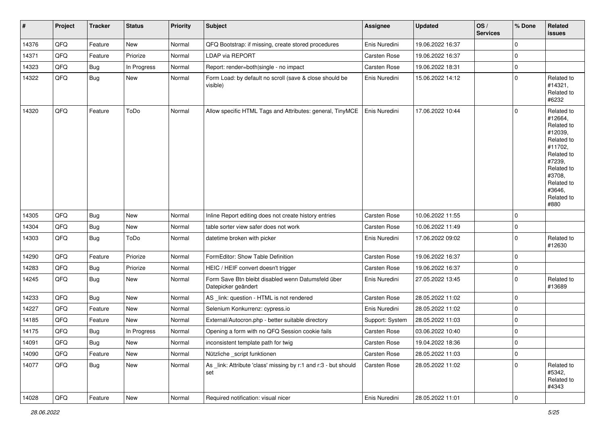| $\vert$ # | Project | <b>Tracker</b> | <b>Status</b> | <b>Priority</b> | Subject                                                                   | Assignee        | <b>Updated</b>   | OS/<br><b>Services</b> | % Done       | Related<br>issues                                                                                                                                                     |
|-----------|---------|----------------|---------------|-----------------|---------------------------------------------------------------------------|-----------------|------------------|------------------------|--------------|-----------------------------------------------------------------------------------------------------------------------------------------------------------------------|
| 14376     | QFQ     | Feature        | New           | Normal          | QFQ Bootstrap: if missing, create stored procedures                       | Enis Nuredini   | 19.06.2022 16:37 |                        | $\mathbf{0}$ |                                                                                                                                                                       |
| 14371     | QFQ     | Feature        | Priorize      | Normal          | LDAP via REPORT                                                           | Carsten Rose    | 19.06.2022 16:37 |                        | 0            |                                                                                                                                                                       |
| 14323     | QFQ     | <b>Bug</b>     | In Progress   | Normal          | Report: render=both single - no impact                                    | Carsten Rose    | 19.06.2022 18:31 |                        | 0            |                                                                                                                                                                       |
| 14322     | QFQ     | Bug            | New           | Normal          | Form Load: by default no scroll (save & close should be<br>visible)       | Enis Nuredini   | 15.06.2022 14:12 |                        | $\mathbf 0$  | Related to<br>#14321,<br>Related to<br>#6232                                                                                                                          |
| 14320     | QFQ     | Feature        | ToDo          | Normal          | Allow specific HTML Tags and Attributes: general, TinyMCE                 | Enis Nuredini   | 17.06.2022 10:44 |                        | $\mathbf 0$  | Related to<br>#12664,<br>Related to<br>#12039,<br>Related to<br>#11702,<br>Related to<br>#7239,<br>Related to<br>#3708,<br>Related to<br>#3646,<br>Related to<br>#880 |
| 14305     | QFQ     | Bug            | New           | Normal          | Inline Report editing does not create history entries                     | Carsten Rose    | 10.06.2022 11:55 |                        | $\mathbf 0$  |                                                                                                                                                                       |
| 14304     | QFQ     | <b>Bug</b>     | New           | Normal          | table sorter view safer does not work                                     | Carsten Rose    | 10.06.2022 11:49 |                        | 0            |                                                                                                                                                                       |
| 14303     | QFQ     | Bug            | ToDo          | Normal          | datetime broken with picker                                               | Enis Nuredini   | 17.06.2022 09:02 |                        | $\mathbf 0$  | Related to<br>#12630                                                                                                                                                  |
| 14290     | QFQ     | Feature        | Priorize      | Normal          | FormEditor: Show Table Definition                                         | Carsten Rose    | 19.06.2022 16:37 |                        | $\mathbf 0$  |                                                                                                                                                                       |
| 14283     | QFQ     | Bug            | Priorize      | Normal          | HEIC / HEIF convert doesn't trigger                                       | Carsten Rose    | 19.06.2022 16:37 |                        | $\mathbf 0$  |                                                                                                                                                                       |
| 14245     | QFQ     | Bug            | New           | Normal          | Form Save Btn bleibt disabled wenn Datumsfeld über<br>Datepicker geändert | Enis Nuredini   | 27.05.2022 13:45 |                        | $\mathbf 0$  | Related to<br>#13689                                                                                                                                                  |
| 14233     | QFQ     | Bug            | New           | Normal          | AS _link: question - HTML is not rendered                                 | Carsten Rose    | 28.05.2022 11:02 |                        | 0            |                                                                                                                                                                       |
| 14227     | QFQ     | Feature        | New           | Normal          | Selenium Konkurrenz: cypress.io                                           | Enis Nuredini   | 28.05.2022 11:02 |                        | 0            |                                                                                                                                                                       |
| 14185     | QFQ     | Feature        | New           | Normal          | External/Autocron.php - better suitable directory                         | Support: System | 28.05.2022 11:03 |                        | 0            |                                                                                                                                                                       |
| 14175     | QFQ     | <b>Bug</b>     | In Progress   | Normal          | Opening a form with no QFQ Session cookie fails                           | Carsten Rose    | 03.06.2022 10:40 |                        | $\mathbf 0$  |                                                                                                                                                                       |
| 14091     | QFG     | Bug            | New           | Normal          | inconsistent template path for twig                                       | Carsten Rose    | 19.04.2022 18:36 |                        | 0            |                                                                                                                                                                       |
| 14090     | QFQ     | Feature        | New           | Normal          | Nützliche _script funktionen                                              | Carsten Rose    | 28.05.2022 11:03 |                        | $\mathsf{O}$ |                                                                                                                                                                       |
| 14077     | QFQ     | <b>Bug</b>     | New           | Normal          | As link: Attribute 'class' missing by r:1 and r:3 - but should<br>set     | Carsten Rose    | 28.05.2022 11:02 |                        | $\mathsf{O}$ | Related to<br>#5342,<br>Related to<br>#4343                                                                                                                           |
| 14028     | QFQ     | Feature        | New           | Normal          | Required notification: visual nicer                                       | Enis Nuredini   | 28.05.2022 11:01 |                        | $\mathsf{O}$ |                                                                                                                                                                       |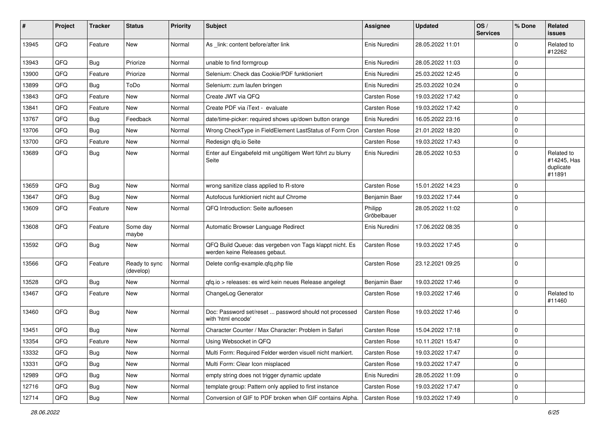| ∦     | Project | <b>Tracker</b> | <b>Status</b>              | <b>Priority</b> | Subject                                                                                  | Assignee               | <b>Updated</b>   | OS/<br><b>Services</b> | % Done      | <b>Related</b><br>issues                         |
|-------|---------|----------------|----------------------------|-----------------|------------------------------------------------------------------------------------------|------------------------|------------------|------------------------|-------------|--------------------------------------------------|
| 13945 | QFQ     | Feature        | <b>New</b>                 | Normal          | As link: content before/after link                                                       | Enis Nuredini          | 28.05.2022 11:01 |                        | $\Omega$    | Related to<br>#12262                             |
| 13943 | QFQ     | <b>Bug</b>     | Priorize                   | Normal          | unable to find formgroup                                                                 | Enis Nuredini          | 28.05.2022 11:03 |                        | $\Omega$    |                                                  |
| 13900 | QFQ     | Feature        | Priorize                   | Normal          | Selenium: Check das Cookie/PDF funktioniert                                              | Enis Nuredini          | 25.03.2022 12:45 |                        | $\Omega$    |                                                  |
| 13899 | QFQ     | <b>Bug</b>     | ToDo                       | Normal          | Selenium: zum laufen bringen                                                             | Enis Nuredini          | 25.03.2022 10:24 |                        | $\Omega$    |                                                  |
| 13843 | QFQ     | Feature        | New                        | Normal          | Create JWT via QFQ                                                                       | <b>Carsten Rose</b>    | 19.03.2022 17:42 |                        | $\mathbf 0$ |                                                  |
| 13841 | QFQ     | Feature        | New                        | Normal          | Create PDF via iText - evaluate                                                          | Carsten Rose           | 19.03.2022 17:42 |                        | 0           |                                                  |
| 13767 | QFQ     | <b>Bug</b>     | Feedback                   | Normal          | date/time-picker: required shows up/down button orange                                   | Enis Nuredini          | 16.05.2022 23:16 |                        | $\Omega$    |                                                  |
| 13706 | QFQ     | <b>Bug</b>     | <b>New</b>                 | Normal          | Wrong CheckType in FieldElement LastStatus of Form Cron                                  | Carsten Rose           | 21.01.2022 18:20 |                        | $\mathbf 0$ |                                                  |
| 13700 | QFQ     | Feature        | <b>New</b>                 | Normal          | Redesign qfq.io Seite                                                                    | Carsten Rose           | 19.03.2022 17:43 |                        | $\Omega$    |                                                  |
| 13689 | QFQ     | <b>Bug</b>     | <b>New</b>                 | Normal          | Enter auf Eingabefeld mit ungültigem Wert führt zu blurry<br>Seite                       | Enis Nuredini          | 28.05.2022 10:53 |                        | $\mathbf 0$ | Related to<br>#14245, Has<br>duplicate<br>#11891 |
| 13659 | QFQ     | <b>Bug</b>     | <b>New</b>                 | Normal          | wrong sanitize class applied to R-store                                                  | Carsten Rose           | 15.01.2022 14:23 |                        | $\mathbf 0$ |                                                  |
| 13647 | QFQ     | <b>Bug</b>     | <b>New</b>                 | Normal          | Autofocus funktioniert nicht auf Chrome                                                  | Benjamin Baer          | 19.03.2022 17:44 |                        | $\Omega$    |                                                  |
| 13609 | QFQ     | Feature        | New                        | Normal          | QFQ Introduction: Seite aufloesen                                                        | Philipp<br>Gröbelbauer | 28.05.2022 11:02 |                        | $\Omega$    |                                                  |
| 13608 | QFQ     | Feature        | Some day<br>maybe          | Normal          | Automatic Browser Language Redirect                                                      | Enis Nuredini          | 17.06.2022 08:35 |                        | $\mathbf 0$ |                                                  |
| 13592 | QFQ     | <b>Bug</b>     | <b>New</b>                 | Normal          | QFQ Build Queue: das vergeben von Tags klappt nicht. Es<br>werden keine Releases gebaut. | Carsten Rose           | 19.03.2022 17:45 |                        | $\Omega$    |                                                  |
| 13566 | QFQ     | Feature        | Ready to sync<br>(develop) | Normal          | Delete config-example.qfq.php file                                                       | Carsten Rose           | 23.12.2021 09:25 |                        | $\Omega$    |                                                  |
| 13528 | QFQ     | <b>Bug</b>     | <b>New</b>                 | Normal          | gfg.io > releases: es wird kein neues Release angelegt                                   | Benjamin Baer          | 19.03.2022 17:46 |                        | $\mathbf 0$ |                                                  |
| 13467 | QFQ     | Feature        | <b>New</b>                 | Normal          | ChangeLog Generator                                                                      | Carsten Rose           | 19.03.2022 17:46 |                        | $\Omega$    | Related to<br>#11460                             |
| 13460 | QFQ     | <b>Bug</b>     | <b>New</b>                 | Normal          | Doc: Password set/reset  password should not processed<br>with 'html encode'             | Carsten Rose           | 19.03.2022 17:46 |                        | $\mathbf 0$ |                                                  |
| 13451 | QFQ     | <b>Bug</b>     | New                        | Normal          | Character Counter / Max Character: Problem in Safari                                     | Carsten Rose           | 15.04.2022 17:18 |                        | $\mathbf 0$ |                                                  |
| 13354 | QFG     | Feature        | New                        | Normal          | Using Websocket in QFQ                                                                   | Carsten Rose           | 10.11.2021 15:47 |                        | $\Omega$    |                                                  |
| 13332 | QFQ     | Bug            | New                        | Normal          | Multi Form: Required Felder werden visuell nicht markiert.                               | Carsten Rose           | 19.03.2022 17:47 |                        | $\Omega$    |                                                  |
| 13331 | QFQ     | <b>Bug</b>     | New                        | Normal          | Multi Form: Clear Icon misplaced                                                         | Carsten Rose           | 19.03.2022 17:47 |                        | $\mathbf 0$ |                                                  |
| 12989 | QFQ     | <b>Bug</b>     | New                        | Normal          | empty string does not trigger dynamic update                                             | Enis Nuredini          | 28.05.2022 11:09 |                        | 0           |                                                  |
| 12716 | QFQ     | <b>Bug</b>     | New                        | Normal          | template group: Pattern only applied to first instance                                   | Carsten Rose           | 19.03.2022 17:47 |                        | 0           |                                                  |
| 12714 | QFG     | <b>Bug</b>     | New                        | Normal          | Conversion of GIF to PDF broken when GIF contains Alpha.                                 | <b>Carsten Rose</b>    | 19.03.2022 17:49 |                        | $\mathbf 0$ |                                                  |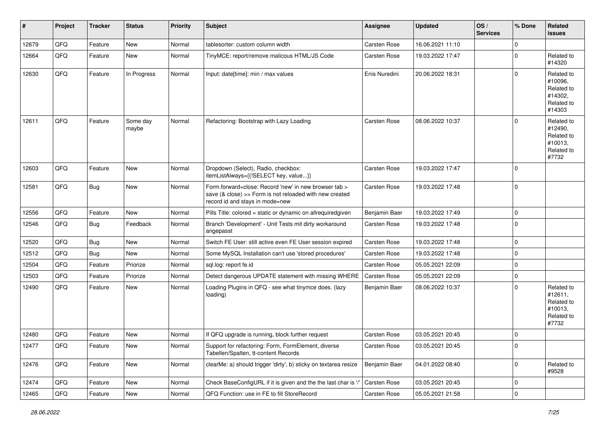| ∦     | Project        | <b>Tracker</b> | <b>Status</b>     | <b>Priority</b> | <b>Subject</b>                                                                                                                                      | <b>Assignee</b> | <b>Updated</b>   | OS/<br><b>Services</b> | % Done    | Related<br>issues                                                      |
|-------|----------------|----------------|-------------------|-----------------|-----------------------------------------------------------------------------------------------------------------------------------------------------|-----------------|------------------|------------------------|-----------|------------------------------------------------------------------------|
| 12679 | QFQ            | Feature        | <b>New</b>        | Normal          | tablesorter: custom column width                                                                                                                    | Carsten Rose    | 16.06.2021 11:10 |                        | $\Omega$  |                                                                        |
| 12664 | QFQ            | Feature        | <b>New</b>        | Normal          | TinyMCE: report/remove malicous HTML/JS Code                                                                                                        | Carsten Rose    | 19.03.2022 17:47 |                        | $\Omega$  | Related to<br>#14320                                                   |
| 12630 | QFQ            | Feature        | In Progress       | Normal          | Input: date[time]: min / max values                                                                                                                 | Enis Nuredini   | 20.06.2022 18:31 |                        | $\Omega$  | Related to<br>#10096,<br>Related to<br>#14302,<br>Related to<br>#14303 |
| 12611 | QFQ            | Feature        | Some day<br>maybe | Normal          | Refactoring: Bootstrap with Lazy Loading                                                                                                            | Carsten Rose    | 08.06.2022 10:37 |                        | $\Omega$  | Related to<br>#12490,<br>Related to<br>#10013,<br>Related to<br>#7732  |
| 12603 | QFQ            | Feature        | <b>New</b>        | Normal          | Dropdown (Select), Radio, checkbox:<br>itemListAlways={{!SELECT key, value}}                                                                        | Carsten Rose    | 19.03.2022 17:47 |                        | $\Omega$  |                                                                        |
| 12581 | QFQ            | <b>Bug</b>     | New               | Normal          | Form.forward=close: Record 'new' in new browser tab ><br>save (& close) >> Form is not reloaded with new created<br>record id and stays in mode=new | Carsten Rose    | 19.03.2022 17:48 |                        | $\Omega$  |                                                                        |
| 12556 | QFQ            | Feature        | New               | Normal          | Pills Title: colored = static or dynamic on allrequiredgiven                                                                                        | Benjamin Baer   | 19.03.2022 17:49 |                        | $\Omega$  |                                                                        |
| 12546 | QFQ            | <b>Bug</b>     | Feedback          | Normal          | Branch 'Development' - Unit Tests mit dirty workaround<br>angepasst                                                                                 | Carsten Rose    | 19.03.2022 17:48 |                        | $\Omega$  |                                                                        |
| 12520 | QFQ            | <b>Bug</b>     | New               | Normal          | Switch FE User: still active even FE User session expired                                                                                           | Carsten Rose    | 19.03.2022 17:48 |                        | $\Omega$  |                                                                        |
| 12512 | QFQ            | <b>Bug</b>     | New               | Normal          | Some MySQL Installation can't use 'stored procedures'                                                                                               | Carsten Rose    | 19.03.2022 17:48 |                        | $\Omega$  |                                                                        |
| 12504 | QFQ            | Feature        | Priorize          | Normal          | sql.log: report fe.id                                                                                                                               | Carsten Rose    | 05.05.2021 22:09 |                        | $\Omega$  |                                                                        |
| 12503 | QFQ            | Feature        | Priorize          | Normal          | Detect dangerous UPDATE statement with missing WHERE                                                                                                | Carsten Rose    | 05.05.2021 22:09 |                        | $\Omega$  |                                                                        |
| 12490 | QFQ            | Feature        | New               | Normal          | Loading Plugins in QFQ - see what tinymce does. (lazy<br>loading)                                                                                   | Benjamin Baer   | 08.06.2022 10:37 |                        | $\Omega$  | Related to<br>#12611,<br>Related to<br>#10013,<br>Related to<br>#7732  |
| 12480 | QFQ            | Feature        | New               | Normal          | If QFQ upgrade is running, block further request                                                                                                    | Carsten Rose    | 03.05.2021 20:45 |                        | $\Omega$  |                                                                        |
| 12477 | QFQ            | Feature        | New               | Normal          | Support for refactoring: Form, FormElement, diverse<br>Tabellen/Spalten, tt-content Records                                                         | Carsten Rose    | 03.05.2021 20:45 |                        | 0         |                                                                        |
| 12476 | QFO            | Feature        | New               | Normal          | clearMe: a) should trigger 'dirty', b) sticky on textarea resize                                                                                    | Benjamin Baer   | 04.01.2022 08:40 |                        | 0         | Related to<br>#9528                                                    |
| 12474 | QFQ            | Feature        | New               | Normal          | Check BaseConfigURL if it is given and the the last char is '/'                                                                                     | Carsten Rose    | 03.05.2021 20:45 |                        | 0         |                                                                        |
| 12465 | $\mathsf{QFQ}$ | Feature        | New               | Normal          | QFQ Function: use in FE to fill StoreRecord                                                                                                         | Carsten Rose    | 05.05.2021 21:58 |                        | $\pmb{0}$ |                                                                        |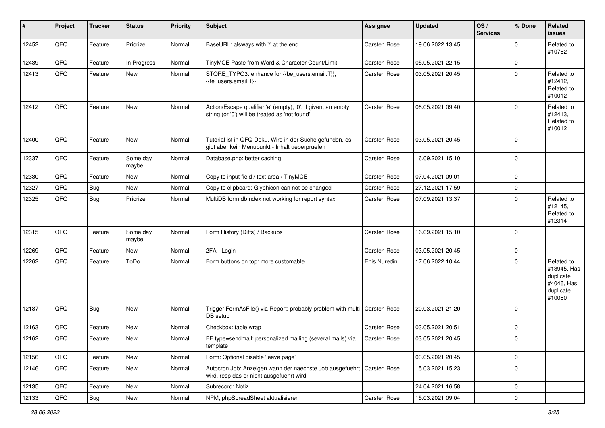| $\vert$ # | Project | <b>Tracker</b> | <b>Status</b>     | <b>Priority</b> | <b>Subject</b>                                                                                                      | <b>Assignee</b> | <b>Updated</b>   | OS/<br><b>Services</b> | % Done      | Related<br>issues                                                           |
|-----------|---------|----------------|-------------------|-----------------|---------------------------------------------------------------------------------------------------------------------|-----------------|------------------|------------------------|-------------|-----------------------------------------------------------------------------|
| 12452     | QFQ     | Feature        | Priorize          | Normal          | BaseURL: alsways with '/' at the end                                                                                | Carsten Rose    | 19.06.2022 13:45 |                        | $\Omega$    | Related to<br>#10782                                                        |
| 12439     | QFQ     | Feature        | In Progress       | Normal          | TinyMCE Paste from Word & Character Count/Limit                                                                     | Carsten Rose    | 05.05.2021 22:15 |                        | $\mathbf 0$ |                                                                             |
| 12413     | QFQ     | Feature        | New               | Normal          | STORE_TYPO3: enhance for {{be_users.email:T}},<br>{{fe users.email:T}}                                              | Carsten Rose    | 03.05.2021 20:45 |                        | $\Omega$    | Related to<br>#12412,<br>Related to<br>#10012                               |
| 12412     | QFQ     | Feature        | New               | Normal          | Action/Escape qualifier 'e' (empty), '0': if given, an empty<br>string (or '0') will be treated as 'not found'      | Carsten Rose    | 08.05.2021 09:40 |                        | $\Omega$    | Related to<br>#12413,<br>Related to<br>#10012                               |
| 12400     | QFQ     | Feature        | New               | Normal          | Tutorial ist in QFQ Doku, Wird in der Suche gefunden, es<br>gibt aber kein Menupunkt - Inhalt ueberpruefen          | Carsten Rose    | 03.05.2021 20:45 |                        | $\Omega$    |                                                                             |
| 12337     | QFQ     | Feature        | Some day<br>maybe | Normal          | Database.php: better caching                                                                                        | Carsten Rose    | 16.09.2021 15:10 |                        | $\Omega$    |                                                                             |
| 12330     | QFQ     | Feature        | New               | Normal          | Copy to input field / text area / TinyMCE                                                                           | Carsten Rose    | 07.04.2021 09:01 |                        | $\mathbf 0$ |                                                                             |
| 12327     | QFQ     | <b>Bug</b>     | <b>New</b>        | Normal          | Copy to clipboard: Glyphicon can not be changed                                                                     | Carsten Rose    | 27.12.2021 17:59 |                        | $\mathbf 0$ |                                                                             |
| 12325     | QFQ     | <b>Bug</b>     | Priorize          | Normal          | MultiDB form.dblndex not working for report syntax                                                                  | Carsten Rose    | 07.09.2021 13:37 |                        | $\Omega$    | Related to<br>#12145,<br>Related to<br>#12314                               |
| 12315     | QFQ     | Feature        | Some day<br>maybe | Normal          | Form History (Diffs) / Backups                                                                                      | Carsten Rose    | 16.09.2021 15:10 |                        | $\Omega$    |                                                                             |
| 12269     | QFQ     | Feature        | New               | Normal          | 2FA - Login                                                                                                         | Carsten Rose    | 03.05.2021 20:45 |                        | 0           |                                                                             |
| 12262     | QFQ     | Feature        | ToDo              | Normal          | Form buttons on top: more customable                                                                                | Enis Nuredini   | 17.06.2022 10:44 |                        | $\Omega$    | Related to<br>#13945, Has<br>duplicate<br>#4046, Has<br>duplicate<br>#10080 |
| 12187     | QFQ     | <b>Bug</b>     | <b>New</b>        | Normal          | Trigger FormAsFile() via Report: probably problem with multi   Carsten Rose<br>DB setup                             |                 | 20.03.2021 21:20 |                        | $\Omega$    |                                                                             |
| 12163     | QFQ     | Feature        | New               | Normal          | Checkbox: table wrap                                                                                                | Carsten Rose    | 03.05.2021 20:51 |                        | $\mathbf 0$ |                                                                             |
| 12162     | QFQ     | Feature        | New               | Normal          | FE.type=sendmail: personalized mailing (several mails) via<br>template                                              | Carsten Rose    | 03.05.2021 20:45 |                        | $\mathbf 0$ |                                                                             |
| 12156     | QFQ     | Feature        | New               | Normal          | Form: Optional disable 'leave page'                                                                                 |                 | 03.05.2021 20:45 |                        | $\mathbf 0$ |                                                                             |
| 12146     | QFQ     | Feature        | New               | Normal          | Autocron Job: Anzeigen wann der naechste Job ausgefuehrt   Carsten Rose<br>wird, resp das er nicht ausgefuehrt wird |                 | 15.03.2021 15:23 |                        | $\Omega$    |                                                                             |
| 12135     | QFQ     | Feature        | New               | Normal          | Subrecord: Notiz                                                                                                    |                 | 24.04.2021 16:58 |                        | $\mathbf 0$ |                                                                             |
| 12133     | QFQ     | Bug            | New               | Normal          | NPM, phpSpreadSheet aktualisieren                                                                                   | Carsten Rose    | 15.03.2021 09:04 |                        | 0           |                                                                             |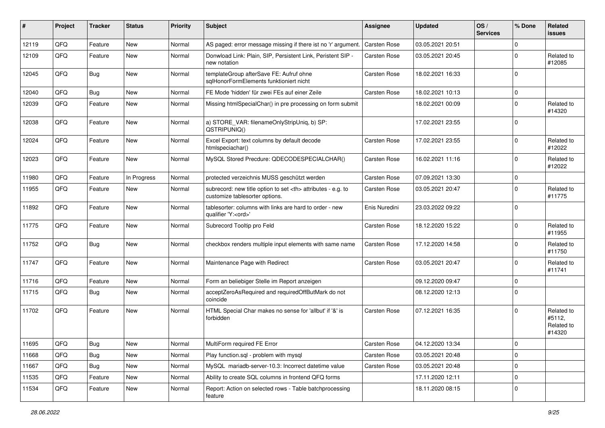| #     | Project | <b>Tracker</b> | <b>Status</b> | <b>Priority</b> | <b>Subject</b>                                                                                       | Assignee                                               | <b>Updated</b>   | OS/<br><b>Services</b> | % Done      | <b>Related</b><br>issues                     |                      |
|-------|---------|----------------|---------------|-----------------|------------------------------------------------------------------------------------------------------|--------------------------------------------------------|------------------|------------------------|-------------|----------------------------------------------|----------------------|
| 12119 | QFQ     | Feature        | <b>New</b>    | Normal          | AS paged: error message missing if there ist no 'r' argument.                                        | Carsten Rose                                           | 03.05.2021 20:51 |                        | $\Omega$    |                                              |                      |
| 12109 | QFQ     | Feature        | <b>New</b>    | Normal          | Donwload Link: Plain, SIP, Persistent Link, Peristent SIP -<br>new notation                          | Carsten Rose                                           | 03.05.2021 20:45 |                        | $\Omega$    | Related to<br>#12085                         |                      |
| 12045 | QFQ     | Bug            | <b>New</b>    | Normal          | templateGroup afterSave FE: Aufruf ohne<br>sglHonorFormElements funktioniert nicht                   | Carsten Rose                                           | 18.02.2021 16:33 |                        | $\Omega$    |                                              |                      |
| 12040 | QFQ     | Bug            | <b>New</b>    | Normal          | FE Mode 'hidden' für zwei FEs auf einer Zeile                                                        | Carsten Rose                                           | 18.02.2021 10:13 |                        | $\Omega$    |                                              |                      |
| 12039 | QFQ     | Feature        | <b>New</b>    | Normal          | Missing htmlSpecialChar() in pre processing on form submit                                           |                                                        | 18.02.2021 00:09 |                        | $\Omega$    | Related to<br>#14320                         |                      |
| 12038 | QFQ     | Feature        | <b>New</b>    | Normal          | a) STORE_VAR: filenameOnlyStripUniq, b) SP:<br>QSTRIPUNIQ()                                          |                                                        | 17.02.2021 23:55 |                        | $\Omega$    |                                              |                      |
| 12024 | QFQ     | Feature        | <b>New</b>    | Normal          | Excel Export: text columns by default decode<br>htmlspeciachar()                                     | Carsten Rose                                           | 17.02.2021 23:55 |                        | $\Omega$    | Related to<br>#12022                         |                      |
| 12023 | QFQ     | Feature        | <b>New</b>    | Normal          | MySQL Stored Precdure: QDECODESPECIALCHAR()                                                          | Carsten Rose                                           | 16.02.2021 11:16 |                        | $\Omega$    | Related to<br>#12022                         |                      |
| 11980 | QFQ     | Feature        | In Progress   | Normal          | protected verzeichnis MUSS geschützt werden                                                          | Carsten Rose                                           | 07.09.2021 13:30 |                        | $\Omega$    |                                              |                      |
| 11955 | QFQ     | Feature        | New           | Normal          | subrecord: new title option to set <th> attributes - e.g. to<br/>customize tablesorter options.</th> | attributes - e.g. to<br>customize tablesorter options. | Carsten Rose     | 03.05.2021 20:47       |             | $\Omega$                                     | Related to<br>#11775 |
| 11892 | QFQ     | Feature        | <b>New</b>    | Normal          | tablesorter: columns with links are hard to order - new<br>qualifier 'Y: <ord>'</ord>                | Enis Nuredini                                          | 23.03.2022 09:22 |                        | $\Omega$    |                                              |                      |
| 11775 | QFQ     | Feature        | <b>New</b>    | Normal          | Subrecord Tooltip pro Feld                                                                           | Carsten Rose                                           | 18.12.2020 15:22 |                        | $\Omega$    | Related to<br>#11955                         |                      |
| 11752 | QFQ     | Bug            | <b>New</b>    | Normal          | checkbox renders multiple input elements with same name                                              | Carsten Rose                                           | 17.12.2020 14:58 |                        | $\Omega$    | Related to<br>#11750                         |                      |
| 11747 | QFQ     | Feature        | <b>New</b>    | Normal          | Maintenance Page with Redirect                                                                       | Carsten Rose                                           | 03.05.2021 20:47 |                        | $\Omega$    | Related to<br>#11741                         |                      |
| 11716 | QFQ     | Feature        | <b>New</b>    | Normal          | Form an beliebiger Stelle im Report anzeigen                                                         |                                                        | 09.12.2020 09:47 |                        | $\mathbf 0$ |                                              |                      |
| 11715 | QFQ     | Bug            | <b>New</b>    | Normal          | acceptZeroAsRequired and requiredOffButMark do not<br>coincide                                       |                                                        | 08.12.2020 12:13 |                        | $\Omega$    |                                              |                      |
| 11702 | QFQ     | Feature        | <b>New</b>    | Normal          | HTML Special Char makes no sense for 'allbut' if '&' is<br>forbidden                                 | Carsten Rose                                           | 07.12.2021 16:35 |                        | $\Omega$    | Related to<br>#5112,<br>Related to<br>#14320 |                      |
| 11695 | QFQ     | <b>Bug</b>     | New           | Normal          | MultiForm required FE Error                                                                          | Carsten Rose                                           | 04.12.2020 13:34 |                        | 0           |                                              |                      |
| 11668 | QFQ     | Bug            | <b>New</b>    | Normal          | Play function.sql - problem with mysql                                                               | Carsten Rose                                           | 03.05.2021 20:48 |                        | $\mathbf 0$ |                                              |                      |
| 11667 | QFQ     | Bug            | New           | Normal          | MySQL mariadb-server-10.3: Incorrect datetime value                                                  | Carsten Rose                                           | 03.05.2021 20:48 |                        | 0           |                                              |                      |
| 11535 | QFQ     | Feature        | New           | Normal          | Ability to create SQL columns in frontend QFQ forms                                                  |                                                        | 17.11.2020 12:11 |                        | 0           |                                              |                      |
| 11534 | QFQ     | Feature        | New           | Normal          | Report: Action on selected rows - Table batchprocessing<br>feature                                   |                                                        | 18.11.2020 08:15 |                        | 0           |                                              |                      |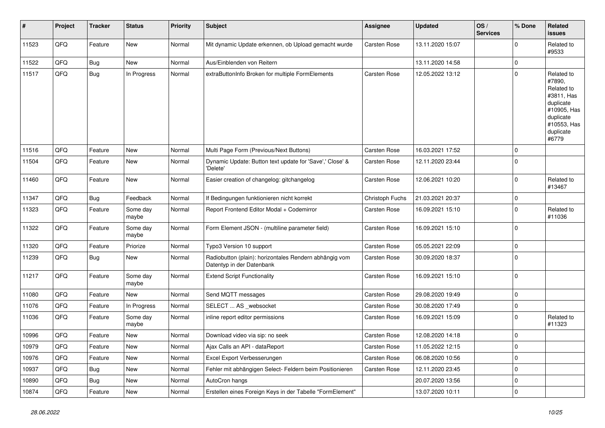| #     | Project | <b>Tracker</b> | <b>Status</b>     | <b>Priority</b> | <b>Subject</b>                                                                      | Assignee            | <b>Updated</b>   | OS/<br><b>Services</b> | % Done      | <b>Related</b><br><b>issues</b>                                                                                                |
|-------|---------|----------------|-------------------|-----------------|-------------------------------------------------------------------------------------|---------------------|------------------|------------------------|-------------|--------------------------------------------------------------------------------------------------------------------------------|
| 11523 | QFQ     | Feature        | New               | Normal          | Mit dynamic Update erkennen, ob Upload gemacht wurde                                | <b>Carsten Rose</b> | 13.11.2020 15:07 |                        | $\Omega$    | Related to<br>#9533                                                                                                            |
| 11522 | QFQ     | <b>Bug</b>     | New               | Normal          | Aus/Einblenden von Reitern                                                          |                     | 13.11.2020 14:58 |                        | $\mathbf 0$ |                                                                                                                                |
| 11517 | QFQ     | <b>Bug</b>     | In Progress       | Normal          | extraButtonInfo Broken for multiple FormElements                                    | Carsten Rose        | 12.05.2022 13:12 |                        | $\Omega$    | Related to<br>#7890,<br>Related to<br>#3811, Has<br>duplicate<br>#10905, Has<br>duplicate<br>#10553, Has<br>duplicate<br>#6779 |
| 11516 | QFQ     | Feature        | <b>New</b>        | Normal          | Multi Page Form (Previous/Next Buttons)                                             | Carsten Rose        | 16.03.2021 17:52 |                        | $\mathbf 0$ |                                                                                                                                |
| 11504 | QFQ     | Feature        | <b>New</b>        | Normal          | Dynamic Update: Button text update for 'Save',' Close' &<br>'Delete'                | <b>Carsten Rose</b> | 12.11.2020 23:44 |                        | $\mathbf 0$ |                                                                                                                                |
| 11460 | QFQ     | Feature        | <b>New</b>        | Normal          | Easier creation of changelog: gitchangelog                                          | Carsten Rose        | 12.06.2021 10:20 |                        | $\mathbf 0$ | Related to<br>#13467                                                                                                           |
| 11347 | QFQ     | <b>Bug</b>     | Feedback          | Normal          | If Bedingungen funktionieren nicht korrekt                                          | Christoph Fuchs     | 21.03.2021 20:37 |                        | $\Omega$    |                                                                                                                                |
| 11323 | QFQ     | Feature        | Some day<br>maybe | Normal          | Report Frontend Editor Modal + Codemirror                                           | Carsten Rose        | 16.09.2021 15:10 |                        | $\mathbf 0$ | Related to<br>#11036                                                                                                           |
| 11322 | QFQ     | Feature        | Some day<br>maybe | Normal          | Form Element JSON - (multiline parameter field)                                     | Carsten Rose        | 16.09.2021 15:10 |                        | $\mathbf 0$ |                                                                                                                                |
| 11320 | QFQ     | Feature        | Priorize          | Normal          | Typo3 Version 10 support                                                            | Carsten Rose        | 05.05.2021 22:09 |                        | $\mathbf 0$ |                                                                                                                                |
| 11239 | QFQ     | Bug            | New               | Normal          | Radiobutton (plain): horizontales Rendern abhängig vom<br>Datentyp in der Datenbank | <b>Carsten Rose</b> | 30.09.2020 18:37 |                        | $\Omega$    |                                                                                                                                |
| 11217 | QFQ     | Feature        | Some day<br>maybe | Normal          | <b>Extend Script Functionality</b>                                                  | <b>Carsten Rose</b> | 16.09.2021 15:10 |                        | $\mathbf 0$ |                                                                                                                                |
| 11080 | QFQ     | Feature        | <b>New</b>        | Normal          | Send MQTT messages                                                                  | Carsten Rose        | 29.08.2020 19:49 |                        | $\mathbf 0$ |                                                                                                                                |
| 11076 | QFQ     | Feature        | In Progress       | Normal          | SELECT  AS _websocket                                                               | <b>Carsten Rose</b> | 30.08.2020 17:49 |                        | 0           |                                                                                                                                |
| 11036 | QFQ     | Feature        | Some day<br>maybe | Normal          | inline report editor permissions                                                    | Carsten Rose        | 16.09.2021 15:09 |                        | $\mathbf 0$ | Related to<br>#11323                                                                                                           |
| 10996 | QFQ     | Feature        | New               | Normal          | Download video via sip: no seek                                                     | Carsten Rose        | 12.08.2020 14:18 |                        | $\mathbf 0$ |                                                                                                                                |
| 10979 | QFQ     | Feature        | New               | Normal          | Ajax Calls an API - dataReport                                                      | Carsten Rose        | 11.05.2022 12:15 |                        | $\mathbf 0$ |                                                                                                                                |
| 10976 | QFQ     | Feature        | New               | Normal          | Excel Export Verbesserungen                                                         | Carsten Rose        | 06.08.2020 10:56 |                        | $\mathbf 0$ |                                                                                                                                |
| 10937 | QFQ     | Bug            | <b>New</b>        | Normal          | Fehler mit abhängigen Select- Feldern beim Positionieren                            | Carsten Rose        | 12.11.2020 23:45 |                        | $\mathbf 0$ |                                                                                                                                |
| 10890 | QFQ     | <b>Bug</b>     | <b>New</b>        | Normal          | AutoCron hangs                                                                      |                     | 20.07.2020 13:56 |                        | 0           |                                                                                                                                |
| 10874 | QFQ     | Feature        | New               | Normal          | Erstellen eines Foreign Keys in der Tabelle "FormElement"                           |                     | 13.07.2020 10:11 |                        | $\mathbf 0$ |                                                                                                                                |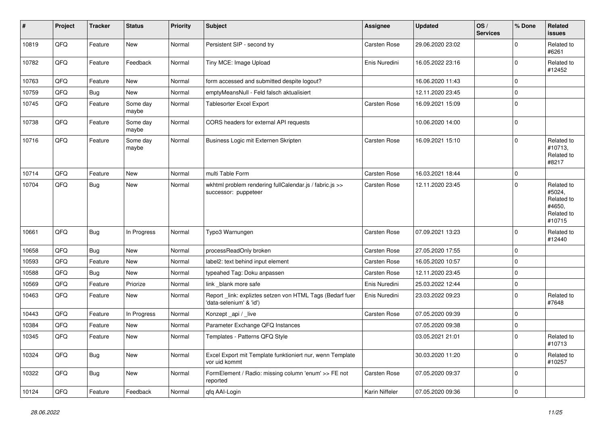| #     | Project | <b>Tracker</b> | <b>Status</b>     | <b>Priority</b> | <b>Subject</b>                                                                      | <b>Assignee</b> | <b>Updated</b>   | OS/<br><b>Services</b> | % Done      | <b>Related</b><br>issues                                             |
|-------|---------|----------------|-------------------|-----------------|-------------------------------------------------------------------------------------|-----------------|------------------|------------------------|-------------|----------------------------------------------------------------------|
| 10819 | QFQ     | Feature        | New               | Normal          | Persistent SIP - second try                                                         | Carsten Rose    | 29.06.2020 23:02 |                        | $\Omega$    | Related to<br>#6261                                                  |
| 10782 | QFQ     | Feature        | Feedback          | Normal          | Tiny MCE: Image Upload                                                              | Enis Nuredini   | 16.05.2022 23:16 |                        | $\Omega$    | Related to<br>#12452                                                 |
| 10763 | QFQ     | Feature        | New               | Normal          | form accessed and submitted despite logout?                                         |                 | 16.06.2020 11:43 |                        | $\Omega$    |                                                                      |
| 10759 | QFQ     | Bug            | <b>New</b>        | Normal          | emptyMeansNull - Feld falsch aktualisiert                                           |                 | 12.11.2020 23:45 |                        | $\Omega$    |                                                                      |
| 10745 | QFQ     | Feature        | Some day<br>maybe | Normal          | <b>Tablesorter Excel Export</b>                                                     | Carsten Rose    | 16.09.2021 15:09 |                        | $\mathbf 0$ |                                                                      |
| 10738 | QFQ     | Feature        | Some day<br>maybe | Normal          | CORS headers for external API requests                                              |                 | 10.06.2020 14:00 |                        | $\mathbf 0$ |                                                                      |
| 10716 | QFQ     | Feature        | Some day<br>maybe | Normal          | Business Logic mit Externen Skripten                                                | Carsten Rose    | 16.09.2021 15:10 |                        | $\Omega$    | Related to<br>#10713,<br>Related to<br>#8217                         |
| 10714 | QFQ     | Feature        | <b>New</b>        | Normal          | multi Table Form                                                                    | Carsten Rose    | 16.03.2021 18:44 |                        | $\mathbf 0$ |                                                                      |
| 10704 | QFQ     | Bug            | <b>New</b>        | Normal          | wkhtml problem rendering fullCalendar.js / fabric.js >><br>successor: puppeteer     | Carsten Rose    | 12.11.2020 23:45 |                        | $\Omega$    | Related to<br>#5024,<br>Related to<br>#4650,<br>Related to<br>#10715 |
| 10661 | QFQ     | <b>Bug</b>     | In Progress       | Normal          | Typo3 Warnungen                                                                     | Carsten Rose    | 07.09.2021 13:23 |                        | $\Omega$    | Related to<br>#12440                                                 |
| 10658 | QFQ     | <b>Bug</b>     | New               | Normal          | processReadOnly broken                                                              | Carsten Rose    | 27.05.2020 17:55 |                        | $\Omega$    |                                                                      |
| 10593 | QFQ     | Feature        | New               | Normal          | label2: text behind input element                                                   | Carsten Rose    | 16.05.2020 10:57 |                        | $\Omega$    |                                                                      |
| 10588 | QFQ     | <b>Bug</b>     | New               | Normal          | typeahed Tag: Doku anpassen                                                         | Carsten Rose    | 12.11.2020 23:45 |                        | $\Omega$    |                                                                      |
| 10569 | QFQ     | Feature        | Priorize          | Normal          | link _blank more safe                                                               | Enis Nuredini   | 25.03.2022 12:44 |                        | $\mathbf 0$ |                                                                      |
| 10463 | QFQ     | Feature        | New               | Normal          | Report_link: expliztes setzen von HTML Tags (Bedarf fuer<br>'data-selenium' & 'id') | Enis Nuredini   | 23.03.2022 09:23 |                        | $\Omega$    | Related to<br>#7648                                                  |
| 10443 | QFQ     | Feature        | In Progress       | Normal          | Konzept _api / _live                                                                | Carsten Rose    | 07.05.2020 09:39 |                        | $\Omega$    |                                                                      |
| 10384 | QFQ     | Feature        | New               | Normal          | Parameter Exchange QFQ Instances                                                    |                 | 07.05.2020 09:38 |                        | $\mathbf 0$ |                                                                      |
| 10345 | QFQ     | Feature        | New               | Normal          | Templates - Patterns QFQ Style                                                      |                 | 03.05.2021 21:01 |                        | $\Omega$    | Related to<br>#10/13                                                 |
| 10324 | QFQ     | Bug            | New               | Normal          | Excel Export mit Template funktioniert nur, wenn Template<br>vor uid kommt          |                 | 30.03.2020 11:20 |                        | 0           | Related to<br>#10257                                                 |
| 10322 | QFO     | Bug            | New               | Normal          | FormElement / Radio: missing column 'enum' >> FE not<br>reported                    | Carsten Rose    | 07.05.2020 09:37 |                        | 0           |                                                                      |
| 10124 | QFG     | Feature        | Feedback          | Normal          | qfq AAI-Login                                                                       | Karin Niffeler  | 07.05.2020 09:36 |                        | $\pmb{0}$   |                                                                      |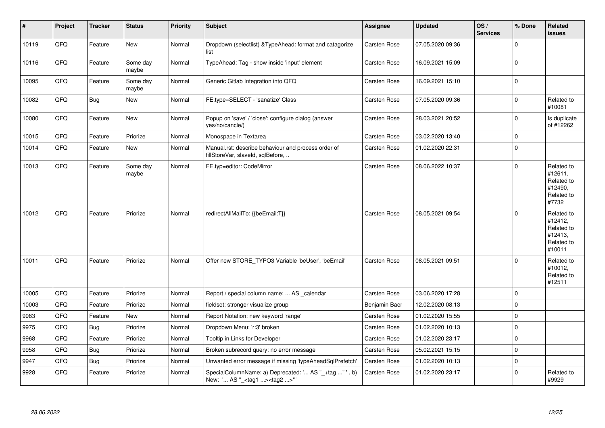| #     | Project | <b>Tracker</b> | <b>Status</b>     | Priority | <b>Subject</b>                                                                                     | <b>Assignee</b>     | <b>Updated</b>   | OS/<br><b>Services</b> | % Done      | Related<br><b>issues</b>                                               |
|-------|---------|----------------|-------------------|----------|----------------------------------------------------------------------------------------------------|---------------------|------------------|------------------------|-------------|------------------------------------------------------------------------|
| 10119 | QFQ     | Feature        | New               | Normal   | Dropdown (selectlist) & TypeAhead: format and catagorize<br>list                                   | Carsten Rose        | 07.05.2020 09:36 |                        | $\mathbf 0$ |                                                                        |
| 10116 | QFQ     | Feature        | Some day<br>maybe | Normal   | TypeAhead: Tag - show inside 'input' element                                                       | Carsten Rose        | 16.09.2021 15:09 |                        | $\Omega$    |                                                                        |
| 10095 | QFO     | Feature        | Some day<br>maybe | Normal   | Generic Gitlab Integration into QFQ                                                                | Carsten Rose        | 16.09.2021 15:10 |                        | $\pmb{0}$   |                                                                        |
| 10082 | QFQ     | Bug            | New               | Normal   | FE.type=SELECT - 'sanatize' Class                                                                  | Carsten Rose        | 07.05.2020 09:36 |                        | $\mathbf 0$ | Related to<br>#10081                                                   |
| 10080 | QFQ     | Feature        | New               | Normal   | Popup on 'save' / 'close': configure dialog (answer<br>yes/no/cancle/)                             | <b>Carsten Rose</b> | 28.03.2021 20:52 |                        | $\mathbf 0$ | Is duplicate<br>of #12262                                              |
| 10015 | QFQ     | Feature        | Priorize          | Normal   | Monospace in Textarea                                                                              | <b>Carsten Rose</b> | 03.02.2020 13:40 |                        | $\mathbf 0$ |                                                                        |
| 10014 | QFQ     | Feature        | New               | Normal   | Manual.rst: describe behaviour and process order of<br>fillStoreVar, slaveId, sqlBefore,           | <b>Carsten Rose</b> | 01.02.2020 22:31 |                        | $\Omega$    |                                                                        |
| 10013 | QFQ     | Feature        | Some day<br>maybe | Normal   | FE.typ=editor: CodeMirror                                                                          | <b>Carsten Rose</b> | 08.06.2022 10:37 |                        | $\Omega$    | Related to<br>#12611,<br>Related to<br>#12490.<br>Related to<br>#7732  |
| 10012 | QFQ     | Feature        | Priorize          | Normal   | redirectAllMailTo: {{beEmail:T}}                                                                   | <b>Carsten Rose</b> | 08.05.2021 09:54 |                        | $\mathbf 0$ | Related to<br>#12412,<br>Related to<br>#12413,<br>Related to<br>#10011 |
| 10011 | QFQ     | Feature        | Priorize          | Normal   | Offer new STORE TYPO3 Variable 'beUser', 'beEmail'                                                 | <b>Carsten Rose</b> | 08.05.2021 09:51 |                        | $\Omega$    | Related to<br>#10012,<br>Related to<br>#12511                          |
| 10005 | QFQ     | Feature        | Priorize          | Normal   | Report / special column name:  AS _calendar                                                        | <b>Carsten Rose</b> | 03.06.2020 17:28 |                        | $\mathbf 0$ |                                                                        |
| 10003 | QFQ     | Feature        | Priorize          | Normal   | fieldset: stronger visualize group                                                                 | Benjamin Baer       | 12.02.2020 08:13 |                        | $\mathbf 0$ |                                                                        |
| 9983  | QFO     | Feature        | New               | Normal   | Report Notation: new keyword 'range'                                                               | Carsten Rose        | 01.02.2020 15:55 |                        | $\mathbf 0$ |                                                                        |
| 9975  | QFQ     | <b>Bug</b>     | Priorize          | Normal   | Dropdown Menu: 'r:3' broken                                                                        | Carsten Rose        | 01.02.2020 10:13 |                        | $\mathbf 0$ |                                                                        |
| 9968  | QFQ     | Feature        | Priorize          | Normal   | Tooltip in Links for Developer                                                                     | Carsten Rose        | 01.02.2020 23:17 |                        | $\mathbf 0$ |                                                                        |
| 9958  | QFQ     | <b>Bug</b>     | Priorize          | Normal   | Broken subrecord query: no error message                                                           | Carsten Rose        | 05.02.2021 15:15 |                        | $\mathbf 0$ |                                                                        |
| 9947  | QFQ     | <b>Bug</b>     | Priorize          | Normal   | Unwanted error message if missing 'typeAheadSqlPrefetch'                                           | <b>Carsten Rose</b> | 01.02.2020 10:13 |                        | $\mathbf 0$ |                                                                        |
| 9928  | QFQ     | Feature        | Priorize          | Normal   | SpecialColumnName: a) Deprecated: ' AS "_+tag " ', b)<br>New: ' AS "_ <tag1><tag2>"'</tag2></tag1> | <b>Carsten Rose</b> | 01.02.2020 23:17 |                        | $\mathbf 0$ | Related to<br>#9929                                                    |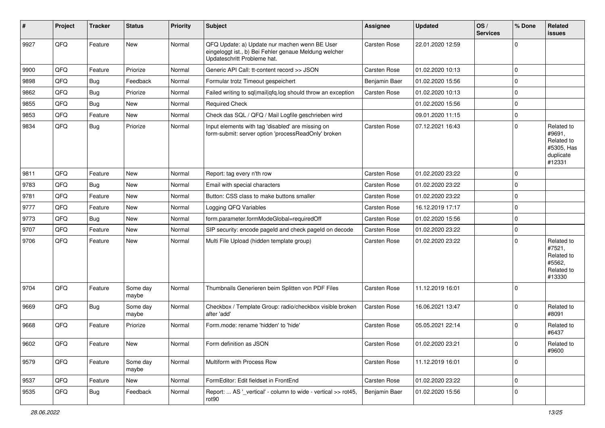| #    | Project | <b>Tracker</b> | <b>Status</b>     | <b>Priority</b> | Subject                                                                                                                               | <b>Assignee</b>     | <b>Updated</b>   | OS/<br><b>Services</b> | % Done      | <b>Related</b><br>issues                                                |
|------|---------|----------------|-------------------|-----------------|---------------------------------------------------------------------------------------------------------------------------------------|---------------------|------------------|------------------------|-------------|-------------------------------------------------------------------------|
| 9927 | QFQ     | Feature        | <b>New</b>        | Normal          | QFQ Update: a) Update nur machen wenn BE User<br>eingeloggt ist., b) Bei Fehler genaue Meldung welcher<br>Updateschritt Probleme hat. | Carsten Rose        | 22.01.2020 12:59 |                        | $\Omega$    |                                                                         |
| 9900 | QFQ     | Feature        | Priorize          | Normal          | Generic API Call: tt-content record >> JSON                                                                                           | Carsten Rose        | 01.02.2020 10:13 |                        | $\Omega$    |                                                                         |
| 9898 | QFQ     | <b>Bug</b>     | Feedback          | Normal          | Formular trotz Timeout gespeichert                                                                                                    | Benjamin Baer       | 01.02.2020 15:56 |                        | $\Omega$    |                                                                         |
| 9862 | QFQ     | <b>Bug</b>     | Priorize          | Normal          | Failed writing to sql mail qfq.log should throw an exception                                                                          | Carsten Rose        | 01.02.2020 10:13 |                        | $\Omega$    |                                                                         |
| 9855 | QFQ     | <b>Bug</b>     | <b>New</b>        | Normal          | <b>Required Check</b>                                                                                                                 |                     | 01.02.2020 15:56 |                        | $\Omega$    |                                                                         |
| 9853 | QFQ     | Feature        | <b>New</b>        | Normal          | Check das SQL / QFQ / Mail Logfile geschrieben wird                                                                                   |                     | 09.01.2020 11:15 |                        | $\Omega$    |                                                                         |
| 9834 | QFQ     | <b>Bug</b>     | Priorize          | Normal          | Input elements with tag 'disabled' are missing on<br>form-submit: server option 'processReadOnly' broken                              | Carsten Rose        | 07.12.2021 16:43 |                        | $\Omega$    | Related to<br>#9691,<br>Related to<br>#5305, Has<br>duplicate<br>#12331 |
| 9811 | QFQ     | Feature        | <b>New</b>        | Normal          | Report: tag every n'th row                                                                                                            | Carsten Rose        | 01.02.2020 23:22 |                        | $\Omega$    |                                                                         |
| 9783 | QFQ     | <b>Bug</b>     | <b>New</b>        | Normal          | Email with special characters                                                                                                         | Carsten Rose        | 01.02.2020 23:22 |                        | $\Omega$    |                                                                         |
| 9781 | QFQ     | Feature        | <b>New</b>        | Normal          | Button: CSS class to make buttons smaller                                                                                             | Carsten Rose        | 01.02.2020 23:22 |                        | $\Omega$    |                                                                         |
| 9777 | QFQ     | Feature        | <b>New</b>        | Normal          | Logging QFQ Variables                                                                                                                 | Carsten Rose        | 16.12.2019 17:17 |                        | $\Omega$    |                                                                         |
| 9773 | QFQ     | <b>Bug</b>     | <b>New</b>        | Normal          | form.parameter.formModeGlobal=requiredOff                                                                                             | Carsten Rose        | 01.02.2020 15:56 |                        | $\Omega$    |                                                                         |
| 9707 | QFQ     | Feature        | <b>New</b>        | Normal          | SIP security: encode pageld and check pageld on decode                                                                                | <b>Carsten Rose</b> | 01.02.2020 23:22 |                        | $\Omega$    |                                                                         |
| 9706 | QFQ     | Feature        | <b>New</b>        | Normal          | Multi File Upload (hidden template group)                                                                                             | Carsten Rose        | 01.02.2020 23:22 |                        | $\Omega$    | Related to<br>#7521,<br>Related to<br>#5562,<br>Related to<br>#13330    |
| 9704 | QFQ     | Feature        | Some day<br>maybe | Normal          | Thumbnails Generieren beim Splitten von PDF Files                                                                                     | Carsten Rose        | 11.12.2019 16:01 |                        | $\Omega$    |                                                                         |
| 9669 | QFQ     | <b>Bug</b>     | Some day<br>maybe | Normal          | Checkbox / Template Group: radio/checkbox visible broken<br>after 'add'                                                               | Carsten Rose        | 16.06.2021 13:47 |                        | $\Omega$    | Related to<br>#8091                                                     |
| 9668 | QFQ     | Feature        | Priorize          | Normal          | Form.mode: rename 'hidden' to 'hide'                                                                                                  | Carsten Rose        | 05.05.2021 22:14 |                        | $\Omega$    | Related to<br>#6437                                                     |
| 9602 | QFQ     | Feature        | I New             | Normal          | Form definition as JSON                                                                                                               | Carsten Rose        | 01.02.2020 23:21 |                        | 0           | <b>Related to</b><br>#9600                                              |
| 9579 | QFQ     | Feature        | Some day<br>maybe | Normal          | Multiform with Process Row                                                                                                            | Carsten Rose        | 11.12.2019 16:01 |                        | $\mathbf 0$ |                                                                         |
| 9537 | QFQ     | Feature        | New               | Normal          | FormEditor: Edit fieldset in FrontEnd                                                                                                 | Carsten Rose        | 01.02.2020 23:22 |                        | 0           |                                                                         |
| 9535 | QFQ     | <b>Bug</b>     | Feedback          | Normal          | Report:  AS '_vertical' - column to wide - vertical >> rot45,<br>rot90                                                                | Benjamin Baer       | 01.02.2020 15:56 |                        | $\mathbf 0$ |                                                                         |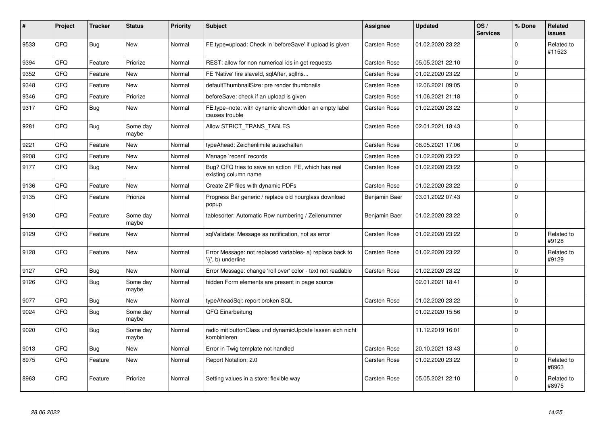| #    | Project | <b>Tracker</b> | <b>Status</b>     | <b>Priority</b> | <b>Subject</b>                                                                  | Assignee            | <b>Updated</b>   | OS/<br><b>Services</b> | % Done      | Related<br><b>issues</b> |
|------|---------|----------------|-------------------|-----------------|---------------------------------------------------------------------------------|---------------------|------------------|------------------------|-------------|--------------------------|
| 9533 | QFQ     | Bug            | <b>New</b>        | Normal          | FE.type=upload: Check in 'beforeSave' if upload is given                        | <b>Carsten Rose</b> | 01.02.2020 23:22 |                        | $\Omega$    | Related to<br>#11523     |
| 9394 | QFQ     | Feature        | Priorize          | Normal          | REST: allow for non numerical ids in get requests                               | <b>Carsten Rose</b> | 05.05.2021 22:10 |                        | $\mathbf 0$ |                          |
| 9352 | QFQ     | Feature        | <b>New</b>        | Normal          | FE 'Native' fire slaveld, sqlAfter, sqllns                                      | Carsten Rose        | 01.02.2020 23:22 |                        | $\mathbf 0$ |                          |
| 9348 | QFQ     | Feature        | New               | Normal          | defaultThumbnailSize: pre render thumbnails                                     | <b>Carsten Rose</b> | 12.06.2021 09:05 |                        | $\mathbf 0$ |                          |
| 9346 | QFQ     | Feature        | Priorize          | Normal          | beforeSave: check if an upload is given                                         | Carsten Rose        | 11.06.2021 21:18 |                        | $\mathbf 0$ |                          |
| 9317 | QFQ     | <b>Bug</b>     | <b>New</b>        | Normal          | FE.type=note: with dynamic show/hidden an empty label<br>causes trouble         | <b>Carsten Rose</b> | 01.02.2020 23:22 |                        | $\mathbf 0$ |                          |
| 9281 | QFQ     | Bug            | Some day<br>maybe | Normal          | Allow STRICT TRANS TABLES                                                       | <b>Carsten Rose</b> | 02.01.2021 18:43 |                        | $\mathbf 0$ |                          |
| 9221 | QFQ     | Feature        | <b>New</b>        | Normal          | typeAhead: Zeichenlimite ausschalten                                            | Carsten Rose        | 08.05.2021 17:06 |                        | $\Omega$    |                          |
| 9208 | QFQ     | Feature        | <b>New</b>        | Normal          | Manage 'recent' records                                                         | <b>Carsten Rose</b> | 01.02.2020 23:22 |                        | $\Omega$    |                          |
| 9177 | QFQ     | <b>Bug</b>     | New               | Normal          | Bug? QFQ tries to save an action FE, which has real<br>existing column name     | Carsten Rose        | 01.02.2020 23:22 |                        | $\mathbf 0$ |                          |
| 9136 | QFQ     | Feature        | <b>New</b>        | Normal          | Create ZIP files with dynamic PDFs                                              | Carsten Rose        | 01.02.2020 23:22 |                        | $\mathbf 0$ |                          |
| 9135 | QFQ     | Feature        | Priorize          | Normal          | Progress Bar generic / replace old hourglass download<br>popup                  | Benjamin Baer       | 03.01.2022 07:43 |                        | $\mathbf 0$ |                          |
| 9130 | QFQ     | Feature        | Some day<br>maybe | Normal          | tablesorter: Automatic Row numbering / Zeilenummer                              | Benjamin Baer       | 01.02.2020 23:22 |                        | $\mathbf 0$ |                          |
| 9129 | QFQ     | Feature        | <b>New</b>        | Normal          | sqlValidate: Message as notification, not as error                              | Carsten Rose        | 01.02.2020 23:22 |                        | $\Omega$    | Related to<br>#9128      |
| 9128 | QFQ     | Feature        | <b>New</b>        | Normal          | Error Message: not replaced variables- a) replace back to<br>'{{', b) underline | <b>Carsten Rose</b> | 01.02.2020 23:22 |                        | $\mathbf 0$ | Related to<br>#9129      |
| 9127 | QFQ     | Bug            | <b>New</b>        | Normal          | Error Message: change 'roll over' color - text not readable                     | <b>Carsten Rose</b> | 01.02.2020 23:22 |                        | $\mathbf 0$ |                          |
| 9126 | QFQ     | <b>Bug</b>     | Some day<br>maybe | Normal          | hidden Form elements are present in page source                                 |                     | 02.01.2021 18:41 |                        | $\mathbf 0$ |                          |
| 9077 | QFQ     | Bug            | <b>New</b>        | Normal          | typeAheadSql: report broken SQL                                                 | Carsten Rose        | 01.02.2020 23:22 |                        | $\mathbf 0$ |                          |
| 9024 | QFQ     | <b>Bug</b>     | Some day<br>maybe | Normal          | QFQ Einarbeitung                                                                |                     | 01.02.2020 15:56 |                        | $\Omega$    |                          |
| 9020 | QFQ     | Bug            | Some day<br>maybe | Normal          | radio mit buttonClass und dynamicUpdate lassen sich nicht<br>kombinieren        |                     | 11.12.2019 16:01 |                        | $\mathbf 0$ |                          |
| 9013 | QFQ     | Bug            | New               | Normal          | Error in Twig template not handled                                              | Carsten Rose        | 20.10.2021 13:43 |                        | $\mathbf 0$ |                          |
| 8975 | QFQ     | Feature        | <b>New</b>        | Normal          | Report Notation: 2.0                                                            | <b>Carsten Rose</b> | 01.02.2020 23:22 |                        | $\mathbf 0$ | Related to<br>#8963      |
| 8963 | QFQ     | Feature        | Priorize          | Normal          | Setting values in a store: flexible way                                         | Carsten Rose        | 05.05.2021 22:10 |                        | $\Omega$    | Related to<br>#8975      |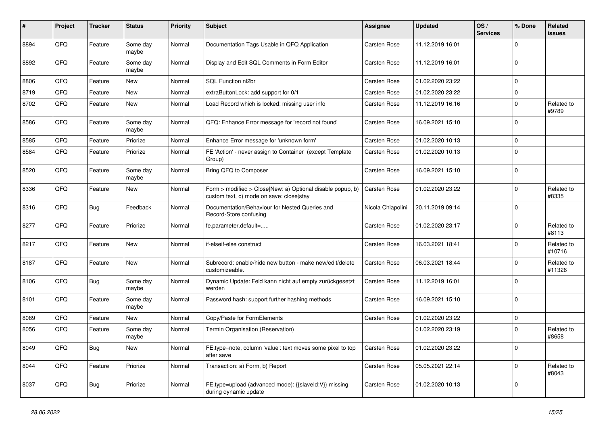| #    | Project | <b>Tracker</b> | <b>Status</b>     | <b>Priority</b> | Subject                                                                                                | <b>Assignee</b>   | <b>Updated</b>   | OS/<br><b>Services</b> | % Done      | <b>Related</b><br>issues |
|------|---------|----------------|-------------------|-----------------|--------------------------------------------------------------------------------------------------------|-------------------|------------------|------------------------|-------------|--------------------------|
| 8894 | QFQ     | Feature        | Some day<br>maybe | Normal          | Documentation Tags Usable in QFQ Application                                                           | Carsten Rose      | 11.12.2019 16:01 |                        | $\Omega$    |                          |
| 8892 | QFQ     | Feature        | Some day<br>maybe | Normal          | Display and Edit SQL Comments in Form Editor                                                           | Carsten Rose      | 11.12.2019 16:01 |                        | $\Omega$    |                          |
| 8806 | QFQ     | Feature        | New               | Normal          | SQL Function nl2br                                                                                     | Carsten Rose      | 01.02.2020 23:22 |                        | $\Omega$    |                          |
| 8719 | QFQ     | Feature        | New               | Normal          | extraButtonLock: add support for 0/1                                                                   | Carsten Rose      | 01.02.2020 23:22 |                        | $\Omega$    |                          |
| 8702 | QFQ     | Feature        | New               | Normal          | Load Record which is locked: missing user info                                                         | Carsten Rose      | 11.12.2019 16:16 |                        | $\mathbf 0$ | Related to<br>#9789      |
| 8586 | QFQ     | Feature        | Some day<br>maybe | Normal          | QFQ: Enhance Error message for 'record not found'                                                      | Carsten Rose      | 16.09.2021 15:10 |                        | $\Omega$    |                          |
| 8585 | QFQ     | Feature        | Priorize          | Normal          | Enhance Error message for 'unknown form'                                                               | Carsten Rose      | 01.02.2020 10:13 |                        | $\Omega$    |                          |
| 8584 | QFQ     | Feature        | Priorize          | Normal          | FE 'Action' - never assign to Container (except Template<br>Group)                                     | Carsten Rose      | 01.02.2020 10:13 |                        | $\Omega$    |                          |
| 8520 | QFQ     | Feature        | Some day<br>maybe | Normal          | Bring QFQ to Composer                                                                                  | Carsten Rose      | 16.09.2021 15:10 |                        | $\Omega$    |                          |
| 8336 | QFQ     | Feature        | New               | Normal          | Form > modified > Close New: a) Optional disable popup, b)<br>custom text, c) mode on save: close stay | Carsten Rose      | 01.02.2020 23:22 |                        | $\Omega$    | Related to<br>#8335      |
| 8316 | QFQ     | Bug            | Feedback          | Normal          | Documentation/Behaviour for Nested Queries and<br>Record-Store confusing                               | Nicola Chiapolini | 20.11.2019 09:14 |                        | $\Omega$    |                          |
| 8277 | QFQ     | Feature        | Priorize          | Normal          | fe.parameter.default=                                                                                  | Carsten Rose      | 01.02.2020 23:17 |                        | $\Omega$    | Related to<br>#8113      |
| 8217 | QFQ     | Feature        | New               | Normal          | if-elseif-else construct                                                                               | Carsten Rose      | 16.03.2021 18:41 |                        | $\Omega$    | Related to<br>#10716     |
| 8187 | QFQ     | Feature        | New               | Normal          | Subrecord: enable/hide new button - make new/edit/delete<br>customizeable.                             | Carsten Rose      | 06.03.2021 18:44 |                        | $\Omega$    | Related to<br>#11326     |
| 8106 | QFQ     | Bug            | Some day<br>maybe | Normal          | Dynamic Update: Feld kann nicht auf empty zurückgesetzt<br>werden                                      | Carsten Rose      | 11.12.2019 16:01 |                        | $\Omega$    |                          |
| 8101 | QFQ     | Feature        | Some day<br>maybe | Normal          | Password hash: support further hashing methods                                                         | Carsten Rose      | 16.09.2021 15:10 |                        | $\Omega$    |                          |
| 8089 | QFQ     | Feature        | New               | Normal          | Copy/Paste for FormElements                                                                            | Carsten Rose      | 01.02.2020 23:22 |                        | $\mathbf 0$ |                          |
| 8056 | QFQ     | Feature        | Some day<br>maybe | Normal          | Termin Organisation (Reservation)                                                                      |                   | 01.02.2020 23:19 |                        | $\Omega$    | Related to<br>#8658      |
| 8049 | QFQ     | <b>Bug</b>     | New               | Normal          | FE.type=note, column 'value': text moves some pixel to top<br>after save                               | Carsten Rose      | 01.02.2020 23:22 |                        | 0           |                          |
| 8044 | QFQ     | Feature        | Priorize          | Normal          | Transaction: a) Form, b) Report                                                                        | Carsten Rose      | 05.05.2021 22:14 |                        | 0           | Related to<br>#8043      |
| 8037 | QFQ     | Bug            | Priorize          | Normal          | FE.type=upload (advanced mode): {{slaveld:V}} missing<br>during dynamic update                         | Carsten Rose      | 01.02.2020 10:13 |                        | $\pmb{0}$   |                          |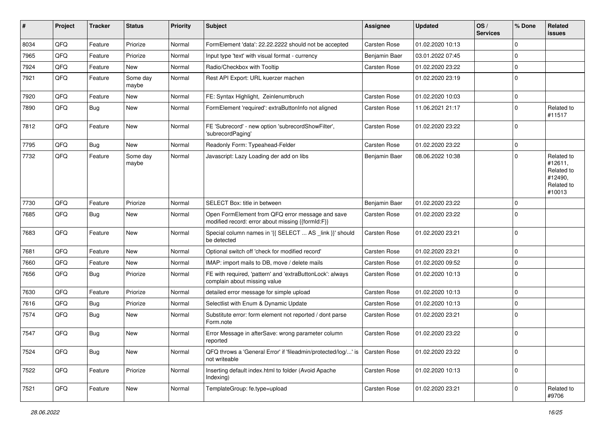| ∦    | Project | <b>Tracker</b> | <b>Status</b>     | <b>Priority</b> | <b>Subject</b>                                                                                        | <b>Assignee</b>     | <b>Updated</b>   | OS/<br><b>Services</b> | % Done      | Related<br><b>issues</b>                                               |
|------|---------|----------------|-------------------|-----------------|-------------------------------------------------------------------------------------------------------|---------------------|------------------|------------------------|-------------|------------------------------------------------------------------------|
| 8034 | QFQ     | Feature        | Priorize          | Normal          | FormElement 'data': 22.22.2222 should not be accepted                                                 | Carsten Rose        | 01.02.2020 10:13 |                        | $\mathbf 0$ |                                                                        |
| 7965 | QFQ     | Feature        | Priorize          | Normal          | Input type 'text' with visual format - currency                                                       | Benjamin Baer       | 03.01.2022 07:45 |                        | $\mathbf 0$ |                                                                        |
| 7924 | QFQ     | Feature        | New               | Normal          | Radio/Checkbox with Tooltip                                                                           | Carsten Rose        | 01.02.2020 23:22 |                        | $\mathbf 0$ |                                                                        |
| 7921 | QFQ     | Feature        | Some day<br>maybe | Normal          | Rest API Export: URL kuerzer machen                                                                   |                     | 01.02.2020 23:19 |                        | $\Omega$    |                                                                        |
| 7920 | QFQ     | Feature        | New               | Normal          | FE: Syntax Highlight, Zeinlenumbruch                                                                  | Carsten Rose        | 01.02.2020 10:03 |                        | $\mathbf 0$ |                                                                        |
| 7890 | QFQ     | <b>Bug</b>     | New               | Normal          | FormElement 'required': extraButtonInfo not aligned                                                   | <b>Carsten Rose</b> | 11.06.2021 21:17 |                        | $\Omega$    | Related to<br>#11517                                                   |
| 7812 | QFQ     | Feature        | New               | Normal          | FE 'Subrecord' - new option 'subrecordShowFilter',<br>'subrecordPaging'                               | Carsten Rose        | 01.02.2020 23:22 |                        | $\mathbf 0$ |                                                                        |
| 7795 | QFQ     | Bug            | <b>New</b>        | Normal          | Readonly Form: Typeahead-Felder                                                                       | Carsten Rose        | 01.02.2020 23:22 |                        | $\mathbf 0$ |                                                                        |
| 7732 | QFQ     | Feature        | Some day<br>maybe | Normal          | Javascript: Lazy Loading der add on libs                                                              | Benjamin Baer       | 08.06.2022 10:38 |                        | $\Omega$    | Related to<br>#12611,<br>Related to<br>#12490,<br>Related to<br>#10013 |
| 7730 | QFQ     | Feature        | Priorize          | Normal          | SELECT Box: title in between                                                                          | Benjamin Baer       | 01.02.2020 23:22 |                        | $\mathbf 0$ |                                                                        |
| 7685 | QFQ     | <b>Bug</b>     | New               | Normal          | Open FormElement from QFQ error message and save<br>modified record: error about missing {{formId:F}} | Carsten Rose        | 01.02.2020 23:22 |                        | $\Omega$    |                                                                        |
| 7683 | QFQ     | Feature        | <b>New</b>        | Normal          | Special column names in '{{ SELECT  AS _link }}' should<br>be detected                                | Carsten Rose        | 01.02.2020 23:21 |                        | $\mathbf 0$ |                                                                        |
| 7681 | QFQ     | Feature        | <b>New</b>        | Normal          | Optional switch off 'check for modified record'                                                       | Carsten Rose        | 01.02.2020 23:21 |                        | $\mathbf 0$ |                                                                        |
| 7660 | QFQ     | Feature        | New               | Normal          | IMAP: import mails to DB, move / delete mails                                                         | Carsten Rose        | 01.02.2020 09:52 |                        | $\mathbf 0$ |                                                                        |
| 7656 | QFQ     | Bug            | Priorize          | Normal          | FE with required, 'pattern' and 'extraButtonLock': always<br>complain about missing value             | Carsten Rose        | 01.02.2020 10:13 |                        | $\Omega$    |                                                                        |
| 7630 | QFQ     | Feature        | Priorize          | Normal          | detailed error message for simple upload                                                              | Carsten Rose        | 01.02.2020 10:13 |                        | $\mathbf 0$ |                                                                        |
| 7616 | QFQ     | <b>Bug</b>     | Priorize          | Normal          | Selectlist with Enum & Dynamic Update                                                                 | Carsten Rose        | 01.02.2020 10:13 |                        | $\mathbf 0$ |                                                                        |
| 7574 | QFQ     | <b>Bug</b>     | <b>New</b>        | Normal          | Substitute error: form element not reported / dont parse<br>Form.note                                 | Carsten Rose        | 01.02.2020 23:21 |                        | $\mathbf 0$ |                                                                        |
| 7547 | QFQ     | <b>Bug</b>     | New               | Normal          | Error Message in afterSave: wrong parameter column<br>reported                                        | Carsten Rose        | 01.02.2020 23:22 |                        | $\mathbf 0$ |                                                                        |
| 7524 | QFQ     | <b>Bug</b>     | New               | Normal          | QFQ throws a 'General Error' if 'fileadmin/protected/log/' is<br>not writeable                        | <b>Carsten Rose</b> | 01.02.2020 23:22 |                        | $\mathbf 0$ |                                                                        |
| 7522 | QFQ     | Feature        | Priorize          | Normal          | Inserting default index.html to folder (Avoid Apache<br>Indexing)                                     | Carsten Rose        | 01.02.2020 10:13 |                        | $\mathbf 0$ |                                                                        |
| 7521 | QFQ     | Feature        | New               | Normal          | TemplateGroup: fe.type=upload                                                                         | Carsten Rose        | 01.02.2020 23:21 |                        | $\mathbf 0$ | Related to<br>#9706                                                    |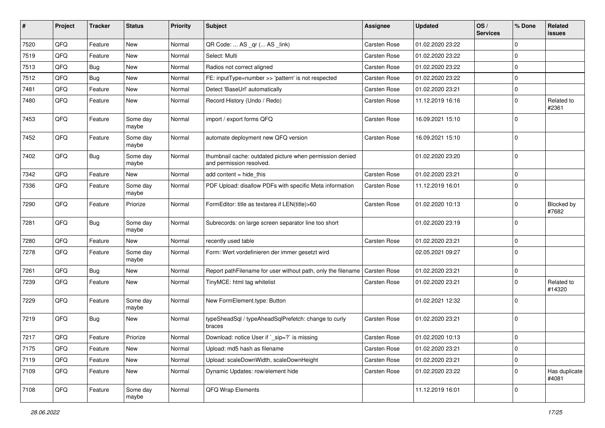| ∦    | Project | <b>Tracker</b> | <b>Status</b>     | <b>Priority</b> | Subject                                                                              | <b>Assignee</b> | <b>Updated</b>   | OS/<br><b>Services</b> | % Done      | <b>Related</b><br>issues   |
|------|---------|----------------|-------------------|-----------------|--------------------------------------------------------------------------------------|-----------------|------------------|------------------------|-------------|----------------------------|
| 7520 | QFQ     | Feature        | <b>New</b>        | Normal          | QR Code:  AS _qr ( AS _link)                                                         | Carsten Rose    | 01.02.2020 23:22 |                        | $\Omega$    |                            |
| 7519 | QFQ     | Feature        | <b>New</b>        | Normal          | Select: Multi                                                                        | Carsten Rose    | 01.02.2020 23:22 |                        | $\Omega$    |                            |
| 7513 | QFQ     | Bug            | <b>New</b>        | Normal          | Radios not correct aligned                                                           | Carsten Rose    | 01.02.2020 23:22 |                        | $\Omega$    |                            |
| 7512 | QFQ     | Bug            | New               | Normal          | FE: inputType=number >> 'pattern' is not respected                                   | Carsten Rose    | 01.02.2020 23:22 |                        | $\Omega$    |                            |
| 7481 | QFQ     | Feature        | New               | Normal          | Detect 'BaseUrl' automatically                                                       | Carsten Rose    | 01.02.2020 23:21 |                        | $\Omega$    |                            |
| 7480 | QFQ     | Feature        | New               | Normal          | Record History (Undo / Redo)                                                         | Carsten Rose    | 11.12.2019 16:16 |                        | $\Omega$    | Related to<br>#2361        |
| 7453 | QFQ     | Feature        | Some day<br>maybe | Normal          | import / export forms QFQ                                                            | Carsten Rose    | 16.09.2021 15:10 |                        | $\Omega$    |                            |
| 7452 | QFQ     | Feature        | Some day<br>maybe | Normal          | automate deployment new QFQ version                                                  | Carsten Rose    | 16.09.2021 15:10 |                        | $\Omega$    |                            |
| 7402 | QFQ     | Bug            | Some day<br>maybe | Normal          | thumbnail cache: outdated picture when permission denied<br>and permission resolved. |                 | 01.02.2020 23:20 |                        | $\mathbf 0$ |                            |
| 7342 | QFQ     | Feature        | New               | Normal          | add content = hide_this                                                              | Carsten Rose    | 01.02.2020 23:21 |                        | $\mathbf 0$ |                            |
| 7336 | QFQ     | Feature        | Some day<br>maybe | Normal          | PDF Upload: disallow PDFs with specific Meta information                             | Carsten Rose    | 11.12.2019 16:01 |                        | $\Omega$    |                            |
| 7290 | QFQ     | Feature        | Priorize          | Normal          | FormEditor: title as textarea if LEN(title)>60                                       | Carsten Rose    | 01.02.2020 10:13 |                        | $\Omega$    | <b>Blocked by</b><br>#7682 |
| 7281 | QFQ     | <b>Bug</b>     | Some day<br>maybe | Normal          | Subrecords: on large screen separator line too short                                 |                 | 01.02.2020 23:19 |                        | $\Omega$    |                            |
| 7280 | QFQ     | Feature        | New               | Normal          | recently used table                                                                  | Carsten Rose    | 01.02.2020 23:21 |                        | $\Omega$    |                            |
| 7278 | QFQ     | Feature        | Some day<br>maybe | Normal          | Form: Wert vordefinieren der immer gesetzt wird                                      |                 | 02.05.2021 09:27 |                        | $\Omega$    |                            |
| 7261 | QFQ     | <b>Bug</b>     | <b>New</b>        | Normal          | Report pathFilename for user without path, only the filename                         | Carsten Rose    | 01.02.2020 23:21 |                        | $\mathbf 0$ |                            |
| 7239 | QFQ     | Feature        | New               | Normal          | TinyMCE: html tag whitelist                                                          | Carsten Rose    | 01.02.2020 23:21 |                        | $\Omega$    | Related to<br>#14320       |
| 7229 | QFQ     | Feature        | Some day<br>maybe | Normal          | New FormElement.type: Button                                                         |                 | 01.02.2021 12:32 |                        | $\Omega$    |                            |
| 7219 | QFQ     | Bug            | <b>New</b>        | Normal          | typeSheadSql / typeAheadSqlPrefetch: change to curly<br>braces                       | Carsten Rose    | 01.02.2020 23:21 |                        | 0           |                            |
| 7217 | QFQ     | Feature        | Priorize          | Normal          | Download: notice User if `_sip=?` is missing                                         | Carsten Rose    | 01.02.2020 10:13 |                        | $\Omega$    |                            |
| 7175 | QFQ     | Feature        | New               | Normal          | Upload: md5 hash as filename                                                         | Carsten Rose    | 01.02.2020 23:21 |                        | 0           |                            |
| 7119 | QFQ     | Feature        | New               | Normal          | Upload: scaleDownWidth, scaleDownHeight                                              | Carsten Rose    | 01.02.2020 23:21 |                        | 0           |                            |
| 7109 | QFQ     | Feature        | New               | Normal          | Dynamic Updates: row/element hide                                                    | Carsten Rose    | 01.02.2020 23:22 |                        | 0           | Has duplicate<br>#4081     |
| 7108 | QFQ     | Feature        | Some day<br>maybe | Normal          | QFQ Wrap Elements                                                                    |                 | 11.12.2019 16:01 |                        | $\mathbf 0$ |                            |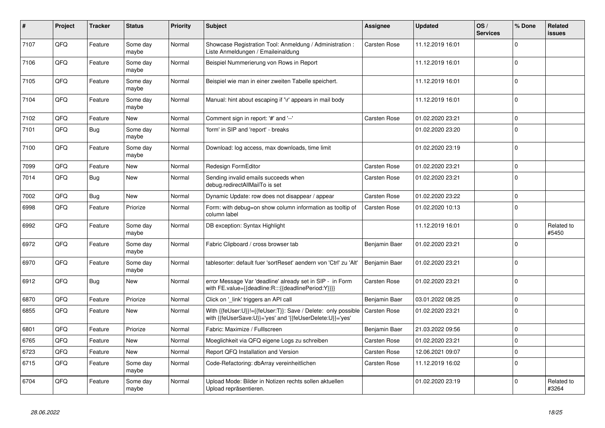| #    | Project | <b>Tracker</b> | <b>Status</b>     | <b>Priority</b> | <b>Subject</b>                                                                                                             | Assignee            | <b>Updated</b>   | OS/<br><b>Services</b> | % Done      | <b>Related</b><br><b>issues</b> |
|------|---------|----------------|-------------------|-----------------|----------------------------------------------------------------------------------------------------------------------------|---------------------|------------------|------------------------|-------------|---------------------------------|
| 7107 | QFQ     | Feature        | Some day<br>maybe | Normal          | Showcase Registration Tool: Anmeldung / Administration :<br>Liste Anmeldungen / Emaileinaldung                             | Carsten Rose        | 11.12.2019 16:01 |                        | $\Omega$    |                                 |
| 7106 | QFQ     | Feature        | Some day<br>maybe | Normal          | Beispiel Nummerierung von Rows in Report                                                                                   |                     | 11.12.2019 16:01 |                        | $\mathbf 0$ |                                 |
| 7105 | QFQ     | Feature        | Some day<br>maybe | Normal          | Beispiel wie man in einer zweiten Tabelle speichert.                                                                       |                     | 11.12.2019 16:01 |                        | $\mathbf 0$ |                                 |
| 7104 | QFQ     | Feature        | Some day<br>maybe | Normal          | Manual: hint about escaping if '\r' appears in mail body                                                                   |                     | 11.12.2019 16:01 |                        | $\mathbf 0$ |                                 |
| 7102 | QFQ     | Feature        | <b>New</b>        | Normal          | Comment sign in report: '#' and '--'                                                                                       | Carsten Rose        | 01.02.2020 23:21 |                        | $\mathbf 0$ |                                 |
| 7101 | QFQ     | <b>Bug</b>     | Some day<br>maybe | Normal          | 'form' in SIP and 'report' - breaks                                                                                        |                     | 01.02.2020 23:20 |                        | $\mathbf 0$ |                                 |
| 7100 | QFQ     | Feature        | Some day<br>maybe | Normal          | Download: log access, max downloads, time limit                                                                            |                     | 01.02.2020 23:19 |                        | $\mathbf 0$ |                                 |
| 7099 | QFQ     | Feature        | New               | Normal          | Redesign FormEditor                                                                                                        | <b>Carsten Rose</b> | 01.02.2020 23:21 |                        | $\mathbf 0$ |                                 |
| 7014 | QFQ     | <b>Bug</b>     | <b>New</b>        | Normal          | Sending invalid emails succeeds when<br>debug.redirectAllMailTo is set                                                     | Carsten Rose        | 01.02.2020 23:21 |                        | $\mathbf 0$ |                                 |
| 7002 | QFQ     | <b>Bug</b>     | <b>New</b>        | Normal          | Dynamic Update: row does not disappear / appear                                                                            | <b>Carsten Rose</b> | 01.02.2020 23:22 |                        | $\mathbf 0$ |                                 |
| 6998 | QFQ     | Feature        | Priorize          | Normal          | Form: with debug=on show column information as tooltip of<br>column label                                                  | <b>Carsten Rose</b> | 01.02.2020 10:13 |                        | $\mathbf 0$ |                                 |
| 6992 | QFQ     | Feature        | Some day<br>maybe | Normal          | DB exception: Syntax Highlight                                                                                             |                     | 11.12.2019 16:01 |                        | $\Omega$    | Related to<br>#5450             |
| 6972 | QFQ     | Feature        | Some day<br>maybe | Normal          | Fabric Clipboard / cross browser tab                                                                                       | Benjamin Baer       | 01.02.2020 23:21 |                        | $\mathbf 0$ |                                 |
| 6970 | QFQ     | Feature        | Some day<br>maybe | Normal          | tablesorter: default fuer 'sortReset' aendern von 'Ctrl' zu 'Alt'                                                          | Benjamin Baer       | 01.02.2020 23:21 |                        | $\mathbf 0$ |                                 |
| 6912 | QFQ     | Bug            | New               | Normal          | error Message Var 'deadline' already set in SIP - in Form<br>with FE.value={{deadline:R:::{{deadlinePeriod:Y}}}}           | <b>Carsten Rose</b> | 01.02.2020 23:21 |                        | $\mathbf 0$ |                                 |
| 6870 | QFQ     | Feature        | Priorize          | Normal          | Click on '_link' triggers an API call                                                                                      | Benjamin Baer       | 03.01.2022 08:25 |                        | $\mathbf 0$ |                                 |
| 6855 | QFQ     | Feature        | <b>New</b>        | Normal          | With {{feUser:U}}!={{feUser:T}}: Save / Delete: only possible<br>with {{feUserSave:U}}='yes' and '{{feUserDelete:U}}='yes' | <b>Carsten Rose</b> | 01.02.2020 23:21 |                        | $\mathbf 0$ |                                 |
| 6801 | QFQ     | Feature        | Priorize          | Normal          | Fabric: Maximize / FullIscreen                                                                                             | Benjamin Baer       | 21.03.2022 09:56 |                        | $\mathbf 0$ |                                 |
| 6765 | QFQ     | Feature        | New               | Normal          | Moeglichkeit via QFQ eigene Logs zu schreiben                                                                              | Carsten Rose        | 01.02.2020 23:21 |                        | $\mathbf 0$ |                                 |
| 6723 | QFQ     | Feature        | New               | Normal          | Report QFQ Installation and Version                                                                                        | <b>Carsten Rose</b> | 12.06.2021 09:07 |                        | $\mathbf 0$ |                                 |
| 6715 | QFQ     | Feature        | Some day<br>maybe | Normal          | Code-Refactoring: dbArray vereinheitlichen                                                                                 | <b>Carsten Rose</b> | 11.12.2019 16:02 |                        | $\mathbf 0$ |                                 |
| 6704 | QFQ     | Feature        | Some day<br>maybe | Normal          | Upload Mode: Bilder in Notizen rechts sollen aktuellen<br>Upload repräsentieren.                                           |                     | 01.02.2020 23:19 |                        | $\mathbf 0$ | Related to<br>#3264             |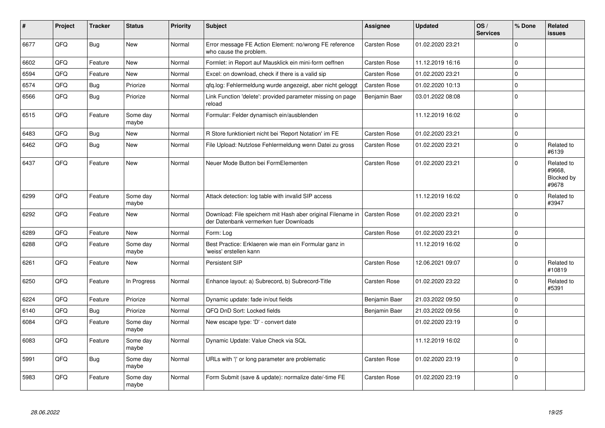| #    | Project | <b>Tracker</b> | <b>Status</b>     | <b>Priority</b> | <b>Subject</b>                                                                                        | <b>Assignee</b>     | <b>Updated</b>   | OS/<br><b>Services</b> | % Done      | Related<br><b>issues</b>                    |
|------|---------|----------------|-------------------|-----------------|-------------------------------------------------------------------------------------------------------|---------------------|------------------|------------------------|-------------|---------------------------------------------|
| 6677 | QFQ     | <b>Bug</b>     | <b>New</b>        | Normal          | Error message FE Action Element: no/wrong FE reference<br>who cause the problem.                      | Carsten Rose        | 01.02.2020 23:21 |                        | $\Omega$    |                                             |
| 6602 | QFQ     | Feature        | <b>New</b>        | Normal          | Formlet: in Report auf Mausklick ein mini-form oeffnen                                                | <b>Carsten Rose</b> | 11.12.2019 16:16 |                        | $\mathbf 0$ |                                             |
| 6594 | QFQ     | Feature        | New               | Normal          | Excel: on download, check if there is a valid sip                                                     | <b>Carsten Rose</b> | 01.02.2020 23:21 |                        | $\mathbf 0$ |                                             |
| 6574 | QFQ     | <b>Bug</b>     | Priorize          | Normal          | qfq.log: Fehlermeldung wurde angezeigt, aber nicht geloggt                                            | <b>Carsten Rose</b> | 01.02.2020 10:13 |                        | $\mathbf 0$ |                                             |
| 6566 | QFQ     | Bug            | Priorize          | Normal          | Link Function 'delete': provided parameter missing on page<br>reload                                  | Benjamin Baer       | 03.01.2022 08:08 |                        | $\pmb{0}$   |                                             |
| 6515 | QFQ     | Feature        | Some day<br>maybe | Normal          | Formular: Felder dynamisch ein/ausblenden                                                             |                     | 11.12.2019 16:02 |                        | $\Omega$    |                                             |
| 6483 | QFQ     | <b>Bug</b>     | <b>New</b>        | Normal          | R Store funktioniert nicht bei 'Report Notation' im FE                                                | <b>Carsten Rose</b> | 01.02.2020 23:21 |                        | $\mathbf 0$ |                                             |
| 6462 | QFQ     | <b>Bug</b>     | New               | Normal          | File Upload: Nutzlose Fehlermeldung wenn Datei zu gross                                               | Carsten Rose        | 01.02.2020 23:21 |                        | $\mathbf 0$ | Related to<br>#6139                         |
| 6437 | QFQ     | Feature        | New               | Normal          | Neuer Mode Button bei FormElementen                                                                   | Carsten Rose        | 01.02.2020 23:21 |                        | $\mathbf 0$ | Related to<br>#9668.<br>Blocked by<br>#9678 |
| 6299 | QFQ     | Feature        | Some day<br>maybe | Normal          | Attack detection: log table with invalid SIP access                                                   |                     | 11.12.2019 16:02 |                        | $\mathbf 0$ | Related to<br>#3947                         |
| 6292 | QFQ     | Feature        | <b>New</b>        | Normal          | Download: File speichern mit Hash aber original Filename in<br>der Datenbank vermerken fuer Downloads | <b>Carsten Rose</b> | 01.02.2020 23:21 |                        | $\mathbf 0$ |                                             |
| 6289 | QFQ     | Feature        | New               | Normal          | Form: Log                                                                                             | <b>Carsten Rose</b> | 01.02.2020 23:21 |                        | $\mathbf 0$ |                                             |
| 6288 | QFQ     | Feature        | Some day<br>maybe | Normal          | Best Practice: Erklaeren wie man ein Formular ganz in<br>'weiss' erstellen kann                       |                     | 11.12.2019 16:02 |                        | $\mathbf 0$ |                                             |
| 6261 | QFQ     | Feature        | <b>New</b>        | Normal          | Persistent SIP                                                                                        | <b>Carsten Rose</b> | 12.06.2021 09:07 |                        | $\Omega$    | Related to<br>#10819                        |
| 6250 | QFQ     | Feature        | In Progress       | Normal          | Enhance layout: a) Subrecord, b) Subrecord-Title                                                      | <b>Carsten Rose</b> | 01.02.2020 23:22 |                        | $\mathbf 0$ | Related to<br>#5391                         |
| 6224 | QFQ     | Feature        | Priorize          | Normal          | Dynamic update: fade in/out fields                                                                    | Benjamin Baer       | 21.03.2022 09:50 |                        | $\mathbf 0$ |                                             |
| 6140 | QFQ     | <b>Bug</b>     | Priorize          | Normal          | QFQ DnD Sort: Locked fields                                                                           | Benjamin Baer       | 21.03.2022 09:56 |                        | $\mathbf 0$ |                                             |
| 6084 | QFQ     | Feature        | Some day<br>maybe | Normal          | New escape type: 'D' - convert date                                                                   |                     | 01.02.2020 23:19 |                        | $\mathbf 0$ |                                             |
| 6083 | QFQ     | Feature        | Some day<br>maybe | Normal          | Dynamic Update: Value Check via SQL                                                                   |                     | 11.12.2019 16:02 |                        | $\mathbf 0$ |                                             |
| 5991 | QFQ     | Bug            | Some day<br>maybe | Normal          | URLs with ' ' or long parameter are problematic                                                       | Carsten Rose        | 01.02.2020 23:19 |                        | $\mathbf 0$ |                                             |
| 5983 | QFQ     | Feature        | Some day<br>maybe | Normal          | Form Submit (save & update): normalize date/-time FE                                                  | <b>Carsten Rose</b> | 01.02.2020 23:19 |                        | $\Omega$    |                                             |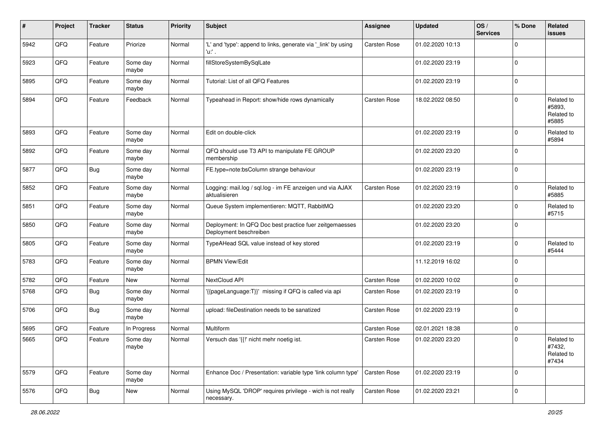| #    | Project | <b>Tracker</b> | <b>Status</b>     | <b>Priority</b> | <b>Subject</b>                                                                    | <b>Assignee</b> | <b>Updated</b>   | OS/<br><b>Services</b> | % Done      | <b>Related</b><br>issues                    |
|------|---------|----------------|-------------------|-----------------|-----------------------------------------------------------------------------------|-----------------|------------------|------------------------|-------------|---------------------------------------------|
| 5942 | QFQ     | Feature        | Priorize          | Normal          | 'L' and 'type': append to links, generate via '_link' by using<br>'u:' .          | Carsten Rose    | 01.02.2020 10:13 |                        | $\Omega$    |                                             |
| 5923 | QFQ     | Feature        | Some day<br>maybe | Normal          | fillStoreSystemBySqlLate                                                          |                 | 01.02.2020 23:19 |                        | $\Omega$    |                                             |
| 5895 | QFQ     | Feature        | Some day<br>maybe | Normal          | Tutorial: List of all QFQ Features                                                |                 | 01.02.2020 23:19 |                        | $\Omega$    |                                             |
| 5894 | QFQ     | Feature        | Feedback          | Normal          | Typeahead in Report: show/hide rows dynamically                                   | Carsten Rose    | 18.02.2022 08:50 |                        | $\Omega$    | Related to<br>#5893,<br>Related to<br>#5885 |
| 5893 | QFQ     | Feature        | Some day<br>maybe | Normal          | Edit on double-click                                                              |                 | 01.02.2020 23:19 |                        | $\Omega$    | Related to<br>#5894                         |
| 5892 | QFQ     | Feature        | Some day<br>maybe | Normal          | QFQ should use T3 API to manipulate FE GROUP<br>membership                        |                 | 01.02.2020 23:20 |                        | $\mathbf 0$ |                                             |
| 5877 | QFQ     | <b>Bug</b>     | Some day<br>maybe | Normal          | FE.type=note:bsColumn strange behaviour                                           |                 | 01.02.2020 23:19 |                        | $\Omega$    |                                             |
| 5852 | QFQ     | Feature        | Some day<br>maybe | Normal          | Logging: mail.log / sql.log - im FE anzeigen und via AJAX<br>aktualisieren        | Carsten Rose    | 01.02.2020 23:19 |                        | $\Omega$    | Related to<br>#5885                         |
| 5851 | QFQ     | Feature        | Some day<br>maybe | Normal          | Queue System implementieren: MQTT, RabbitMQ                                       |                 | 01.02.2020 23:20 |                        | $\Omega$    | Related to<br>#5715                         |
| 5850 | QFQ     | Feature        | Some day<br>maybe | Normal          | Deployment: In QFQ Doc best practice fuer zeitgemaesses<br>Deployment beschreiben |                 | 01.02.2020 23:20 |                        | $\Omega$    |                                             |
| 5805 | QFQ     | Feature        | Some day<br>maybe | Normal          | TypeAHead SQL value instead of key stored                                         |                 | 01.02.2020 23:19 |                        | $\Omega$    | Related to<br>#5444                         |
| 5783 | QFQ     | Feature        | Some day<br>maybe | Normal          | <b>BPMN View/Edit</b>                                                             |                 | 11.12.2019 16:02 |                        | $\Omega$    |                                             |
| 5782 | QFQ     | Feature        | New               | Normal          | NextCloud API                                                                     | Carsten Rose    | 01.02.2020 10:02 |                        | $\mathbf 0$ |                                             |
| 5768 | QFQ     | Bug            | Some day<br>maybe | Normal          | '{{pageLanguage:T}}' missing if QFQ is called via api                             | Carsten Rose    | 01.02.2020 23:19 |                        | $\Omega$    |                                             |
| 5706 | QFQ     | Bug            | Some day<br>maybe | Normal          | upload: fileDestination needs to be sanatized                                     | Carsten Rose    | 01.02.2020 23:19 |                        | $\Omega$    |                                             |
| 5695 | QFQ     | Feature        | In Progress       | Normal          | Multiform                                                                         | Carsten Rose    | 02.01.2021 18:38 |                        | $\mathbf 0$ |                                             |
| 5665 | QFQ     | Feature        | Some day<br>maybe | Normal          | Versuch das '{{!' nicht mehr noetig ist.                                          | Carsten Rose    | 01.02.2020 23:20 |                        | $\Omega$    | Related to<br>#7432,<br>Related to<br>#7434 |
| 5579 | QFQ     | Feature        | Some day<br>maybe | Normal          | Enhance Doc / Presentation: variable type 'link column type'                      | Carsten Rose    | 01.02.2020 23:19 |                        | $\Omega$    |                                             |
| 5576 | QFQ     | <b>Bug</b>     | New               | Normal          | Using MySQL 'DROP' requires privilege - wich is not really<br>necessary.          | Carsten Rose    | 01.02.2020 23:21 |                        | 0           |                                             |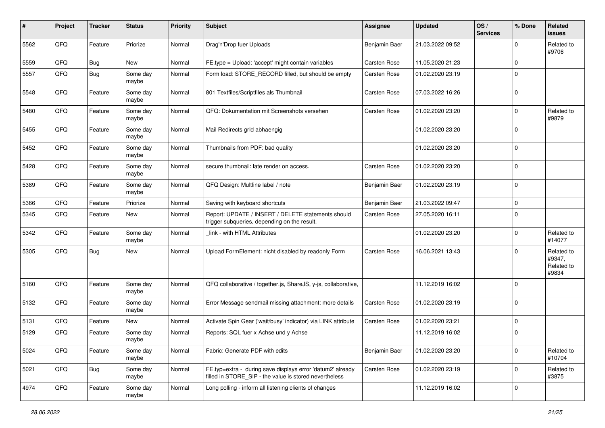| ∦    | Project | <b>Tracker</b> | <b>Status</b>     | <b>Priority</b> | <b>Subject</b>                                                                                                       | <b>Assignee</b> | <b>Updated</b>   | OS/<br><b>Services</b> | % Done      | Related<br>issues                           |
|------|---------|----------------|-------------------|-----------------|----------------------------------------------------------------------------------------------------------------------|-----------------|------------------|------------------------|-------------|---------------------------------------------|
| 5562 | QFQ     | Feature        | Priorize          | Normal          | Drag'n'Drop fuer Uploads                                                                                             | Benjamin Baer   | 21.03.2022 09:52 |                        | $\mathbf 0$ | Related to<br>#9706                         |
| 5559 | QFQ     | <b>Bug</b>     | <b>New</b>        | Normal          | FE.type = Upload: 'accept' might contain variables                                                                   | Carsten Rose    | 11.05.2020 21:23 |                        | $\mathbf 0$ |                                             |
| 5557 | QFQ     | Bug            | Some day<br>maybe | Normal          | Form load: STORE_RECORD filled, but should be empty                                                                  | Carsten Rose    | 01.02.2020 23:19 |                        | $\Omega$    |                                             |
| 5548 | QFQ     | Feature        | Some day<br>maybe | Normal          | 801 Textfiles/Scriptfiles als Thumbnail                                                                              | Carsten Rose    | 07.03.2022 16:26 |                        | $\mathbf 0$ |                                             |
| 5480 | QFQ     | Feature        | Some day<br>maybe | Normal          | QFQ: Dokumentation mit Screenshots versehen                                                                          | Carsten Rose    | 01.02.2020 23:20 |                        | $\Omega$    | Related to<br>#9879                         |
| 5455 | QFQ     | Feature        | Some day<br>maybe | Normal          | Mail Redirects grld abhaengig                                                                                        |                 | 01.02.2020 23:20 |                        | $\mathbf 0$ |                                             |
| 5452 | QFQ     | Feature        | Some day<br>maybe | Normal          | Thumbnails from PDF: bad quality                                                                                     |                 | 01.02.2020 23:20 |                        | $\mathbf 0$ |                                             |
| 5428 | QFQ     | Feature        | Some day<br>maybe | Normal          | secure thumbnail: late render on access.                                                                             | Carsten Rose    | 01.02.2020 23:20 |                        | $\mathbf 0$ |                                             |
| 5389 | QFQ     | Feature        | Some day<br>maybe | Normal          | QFQ Design: Multline label / note                                                                                    | Benjamin Baer   | 01.02.2020 23:19 |                        | $\mathbf 0$ |                                             |
| 5366 | QFQ     | Feature        | Priorize          | Normal          | Saving with keyboard shortcuts                                                                                       | Benjamin Baer   | 21.03.2022 09:47 |                        | $\mathbf 0$ |                                             |
| 5345 | QFQ     | Feature        | New               | Normal          | Report: UPDATE / INSERT / DELETE statements should<br>trigger subqueries, depending on the result.                   | Carsten Rose    | 27.05.2020 16:11 |                        | $\Omega$    |                                             |
| 5342 | QFQ     | Feature        | Some day<br>maybe | Normal          | link - with HTML Attributes                                                                                          |                 | 01.02.2020 23:20 |                        | $\mathbf 0$ | Related to<br>#14077                        |
| 5305 | QFQ     | Bug            | <b>New</b>        | Normal          | Upload FormElement: nicht disabled by readonly Form                                                                  | Carsten Rose    | 16.06.2021 13:43 |                        | $\Omega$    | Related to<br>#9347,<br>Related to<br>#9834 |
| 5160 | QFQ     | Feature        | Some day<br>maybe | Normal          | QFQ collaborative / together.js, ShareJS, y-js, collaborative,                                                       |                 | 11.12.2019 16:02 |                        | $\mathbf 0$ |                                             |
| 5132 | QFQ     | Feature        | Some day<br>maybe | Normal          | Error Message sendmail missing attachment: more details                                                              | Carsten Rose    | 01.02.2020 23:19 |                        | $\mathbf 0$ |                                             |
| 5131 | QFQ     | Feature        | New               | Normal          | Activate Spin Gear ('wait/busy' indicator) via LINK attribute                                                        | Carsten Rose    | 01.02.2020 23:21 |                        | $\mathbf 0$ |                                             |
| 5129 | QFQ     | Feature        | Some day<br>maybe | Normal          | Reports: SQL fuer x Achse und y Achse                                                                                |                 | 11.12.2019 16:02 |                        | $\mathbf 0$ |                                             |
| 5024 | QFQ     | Feature        | Some day<br>maybe | Normal          | Fabric: Generate PDF with edits                                                                                      | Benjamin Baer   | 01.02.2020 23:20 |                        | $\mathbf 0$ | Related to<br>#10704                        |
| 5021 | QFQ     | <b>Bug</b>     | Some day<br>maybe | Normal          | FE.typ=extra - during save displays error 'datum2' already<br>filled in STORE_SIP - the value is stored nevertheless | Carsten Rose    | 01.02.2020 23:19 |                        | $\mathbf 0$ | Related to<br>#3875                         |
| 4974 | QFQ     | Feature        | Some day<br>maybe | Normal          | Long polling - inform all listening clients of changes                                                               |                 | 11.12.2019 16:02 |                        | $\mathbf 0$ |                                             |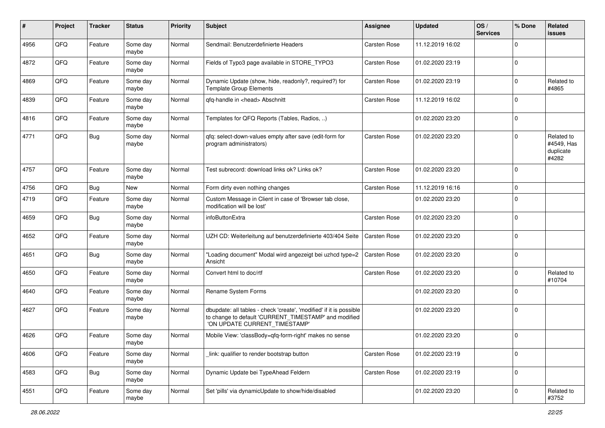| ∦    | Project | <b>Tracker</b> | <b>Status</b>     | <b>Priority</b> | <b>Subject</b>                                                                                                                                                | <b>Assignee</b> | <b>Updated</b>   | OS/<br><b>Services</b> | % Done      | Related<br>issues                              |
|------|---------|----------------|-------------------|-----------------|---------------------------------------------------------------------------------------------------------------------------------------------------------------|-----------------|------------------|------------------------|-------------|------------------------------------------------|
| 4956 | QFQ     | Feature        | Some day<br>maybe | Normal          | Sendmail: Benutzerdefinierte Headers                                                                                                                          | Carsten Rose    | 11.12.2019 16:02 |                        | $\Omega$    |                                                |
| 4872 | QFQ     | Feature        | Some day<br>maybe | Normal          | Fields of Typo3 page available in STORE_TYPO3                                                                                                                 | Carsten Rose    | 01.02.2020 23:19 |                        | $\mathbf 0$ |                                                |
| 4869 | QFQ     | Feature        | Some day<br>maybe | Normal          | Dynamic Update (show, hide, readonly?, required?) for<br><b>Template Group Elements</b>                                                                       | Carsten Rose    | 01.02.2020 23:19 |                        | $\mathbf 0$ | Related to<br>#4865                            |
| 4839 | QFQ     | Feature        | Some day<br>maybe | Normal          | qfq-handle in <head> Abschnitt</head>                                                                                                                         | Carsten Rose    | 11.12.2019 16:02 |                        | $\mathbf 0$ |                                                |
| 4816 | QFQ     | Feature        | Some day<br>maybe | Normal          | Templates for QFQ Reports (Tables, Radios, )                                                                                                                  |                 | 01.02.2020 23:20 |                        | $\mathbf 0$ |                                                |
| 4771 | QFQ     | <b>Bug</b>     | Some day<br>maybe | Normal          | qfq: select-down-values empty after save (edit-form for<br>program administrators)                                                                            | Carsten Rose    | 01.02.2020 23:20 |                        | $\mathbf 0$ | Related to<br>#4549, Has<br>duplicate<br>#4282 |
| 4757 | QFQ     | Feature        | Some day<br>maybe | Normal          | Test subrecord: download links ok? Links ok?                                                                                                                  | Carsten Rose    | 01.02.2020 23:20 |                        | $\mathbf 0$ |                                                |
| 4756 | QFQ     | Bug            | New               | Normal          | Form dirty even nothing changes                                                                                                                               | Carsten Rose    | 11.12.2019 16:16 |                        | $\mathbf 0$ |                                                |
| 4719 | QFQ     | Feature        | Some day<br>maybe | Normal          | Custom Message in Client in case of 'Browser tab close,<br>modification will be lost'                                                                         |                 | 01.02.2020 23:20 |                        | $\Omega$    |                                                |
| 4659 | QFQ     | Bug            | Some day<br>maybe | Normal          | infoButtonExtra                                                                                                                                               | Carsten Rose    | 01.02.2020 23:20 |                        | $\mathbf 0$ |                                                |
| 4652 | QFQ     | Feature        | Some day<br>maybe | Normal          | UZH CD: Weiterleitung auf benutzerdefinierte 403/404 Seite                                                                                                    | Carsten Rose    | 01.02.2020 23:20 |                        | $\mathbf 0$ |                                                |
| 4651 | QFQ     | <b>Bug</b>     | Some day<br>maybe | Normal          | "Loading document" Modal wird angezeigt bei uzhcd type=2<br>Ansicht                                                                                           | Carsten Rose    | 01.02.2020 23:20 |                        | $\mathbf 0$ |                                                |
| 4650 | QFQ     | Feature        | Some day<br>maybe | Normal          | Convert html to doc/rtf                                                                                                                                       | Carsten Rose    | 01.02.2020 23:20 |                        | $\mathbf 0$ | Related to<br>#10704                           |
| 4640 | QFQ     | Feature        | Some day<br>maybe | Normal          | Rename System Forms                                                                                                                                           |                 | 01.02.2020 23:20 |                        | $\mathbf 0$ |                                                |
| 4627 | QFQ     | Feature        | Some day<br>maybe | Normal          | dbupdate: all tables - check 'create', 'modified' if it is possible<br>to change to default 'CURRENT_TIMESTAMP' and modified<br>'ON UPDATE CURRENT_TIMESTAMP' |                 | 01.02.2020 23:20 |                        | $\mathbf 0$ |                                                |
| 4626 | QFQ     | Feature        | Some day<br>maybe | Normal          | Mobile View: 'classBody=qfq-form-right' makes no sense                                                                                                        |                 | 01.02.2020 23:20 |                        | $\mathbf 0$ |                                                |
| 4606 | QFO     | Feature        | Some day<br>maybe | Normal          | link: qualifier to render bootstrap button                                                                                                                    | Carsten Rose    | 01.02.2020 23:19 |                        | $\mathbf 0$ |                                                |
| 4583 | QFO     | <b>Bug</b>     | Some day<br>maybe | Normal          | Dynamic Update bei TypeAhead Feldern                                                                                                                          | Carsten Rose    | 01.02.2020 23:19 |                        | $\mathbf 0$ |                                                |
| 4551 | QFQ     | Feature        | Some day<br>maybe | Normal          | Set 'pills' via dynamicUpdate to show/hide/disabled                                                                                                           |                 | 01.02.2020 23:20 |                        | $\pmb{0}$   | Related to<br>#3752                            |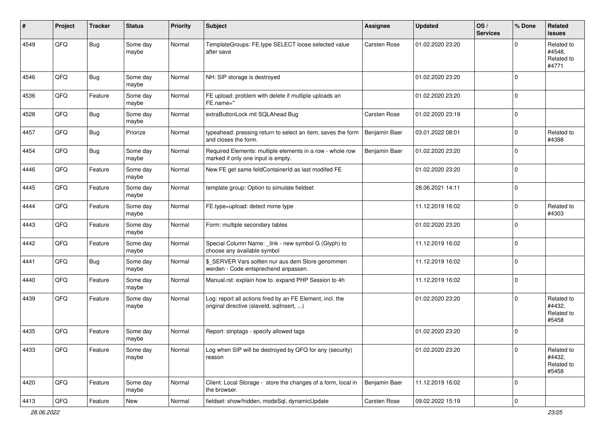| ∦    | Project | <b>Tracker</b> | <b>Status</b>     | <b>Priority</b> | <b>Subject</b>                                                                                         | <b>Assignee</b> | <b>Updated</b>   | OS/<br><b>Services</b> | % Done      | <b>Related</b><br>issues                    |
|------|---------|----------------|-------------------|-----------------|--------------------------------------------------------------------------------------------------------|-----------------|------------------|------------------------|-------------|---------------------------------------------|
| 4549 | QFQ     | Bug            | Some day<br>maybe | Normal          | TemplateGroups: FE.type SELECT loose selected value<br>after save                                      | Carsten Rose    | 01.02.2020 23:20 |                        | $\Omega$    | Related to<br>#4548.<br>Related to<br>#4771 |
| 4546 | QFQ     | Bug            | Some day<br>maybe | Normal          | NH: SIP storage is destroyed                                                                           |                 | 01.02.2020 23:20 |                        | $\Omega$    |                                             |
| 4536 | QFQ     | Feature        | Some day<br>maybe | Normal          | FE upload: problem with delete if mutliple uploads an<br>FE.name="                                     |                 | 01.02.2020 23:20 |                        | $\Omega$    |                                             |
| 4528 | QFQ     | Bug            | Some day<br>maybe | Normal          | extraButtonLock mit SQLAhead Bug                                                                       | Carsten Rose    | 01.02.2020 23:19 |                        | $\mathbf 0$ |                                             |
| 4457 | QFQ     | <b>Bug</b>     | Priorize          | Normal          | typeahead: pressing return to select an item, saves the form<br>and closes the form.                   | Benjamin Baer   | 03.01.2022 08:01 |                        | $\Omega$    | Related to<br>#4398                         |
| 4454 | QFQ     | <b>Bug</b>     | Some day<br>maybe | Normal          | Required Elements: multiple elements in a row - whole row<br>marked if only one input is empty.        | Benjamin Baer   | 01.02.2020 23:20 |                        | $\Omega$    |                                             |
| 4446 | QFQ     | Feature        | Some day<br>maybe | Normal          | New FE get same feldContainerId as last modifed FE                                                     |                 | 01.02.2020 23:20 |                        | $\Omega$    |                                             |
| 4445 | QFQ     | Feature        | Some day<br>maybe | Normal          | template group: Option to simulate fieldset                                                            |                 | 28.06.2021 14:11 |                        | $\Omega$    |                                             |
| 4444 | QFQ     | Feature        | Some day<br>maybe | Normal          | FE.type=upload: detect mime type                                                                       |                 | 11.12.2019 16:02 |                        | $\Omega$    | Related to<br>#4303                         |
| 4443 | QFQ     | Feature        | Some day<br>maybe | Normal          | Form: multiple secondary tables                                                                        |                 | 01.02.2020 23:20 |                        | $\Omega$    |                                             |
| 4442 | QFQ     | Feature        | Some day<br>maybe | Normal          | Special Column Name: _link - new symbol G (Glyph) to<br>choose any available symbol                    |                 | 11.12.2019 16:02 |                        | $\mathbf 0$ |                                             |
| 4441 | QFQ     | Bug            | Some day<br>maybe | Normal          | \$_SERVER Vars sollten nur aus dem Store genommen<br>werden - Code entsprechend anpassen.              |                 | 11.12.2019 16:02 |                        | $\Omega$    |                                             |
| 4440 | QFQ     | Feature        | Some day<br>maybe | Normal          | Manual.rst: explain how to. expand PHP Session to 4h                                                   |                 | 11.12.2019 16:02 |                        | $\Omega$    |                                             |
| 4439 | QFQ     | Feature        | Some day<br>maybe | Normal          | Log: report all actions fired by an FE Element, incl. the<br>original directive (slaveld, sqllnsert, ) |                 | 01.02.2020 23:20 |                        | $\Omega$    | Related to<br>#4432,<br>Related to<br>#5458 |
| 4435 | QFQ     | Feature        | Some day<br>maybe | Normal          | Report: striptags - specify allowed tags                                                               |                 | 01.02.2020 23:20 |                        | $\Omega$    |                                             |
| 4433 | QFO     | Feature        | Some day<br>maybe | Normal          | Log when SIP will be destroyed by QFQ for any (security)<br>reason                                     |                 | 01.02.2020 23:20 |                        | 0           | Related to<br>#4432,<br>Related to<br>#5458 |
| 4420 | QFO     | Feature        | Some day<br>maybe | Normal          | Client: Local Storage - store the changes of a form, local in<br>the browser.                          | Benjamin Baer   | 11.12.2019 16:02 |                        | 0           |                                             |
| 4413 | QFQ     | Feature        | New               | Normal          | fieldset: show/hidden, modeSql, dynamicUpdate                                                          | Carsten Rose    | 09.02.2022 15:19 |                        | $\pmb{0}$   |                                             |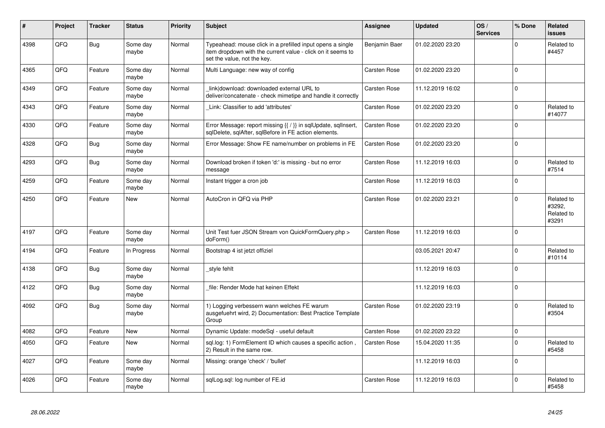| #    | Project | <b>Tracker</b> | <b>Status</b>     | <b>Priority</b> | <b>Subject</b>                                                                                                                                           | Assignee      | <b>Updated</b>   | OS/<br><b>Services</b> | % Done      | Related<br><b>issues</b>                    |
|------|---------|----------------|-------------------|-----------------|----------------------------------------------------------------------------------------------------------------------------------------------------------|---------------|------------------|------------------------|-------------|---------------------------------------------|
| 4398 | QFQ     | Bug            | Some day<br>maybe | Normal          | Typeahead: mouse click in a prefilled input opens a single<br>item dropdown with the current value - click on it seems to<br>set the value, not the key. | Benjamin Baer | 01.02.2020 23:20 |                        | $\Omega$    | Related to<br>#4457                         |
| 4365 | QFQ     | Feature        | Some day<br>maybe | Normal          | Multi Language: new way of config                                                                                                                        | Carsten Rose  | 01.02.2020 23:20 |                        | $\Omega$    |                                             |
| 4349 | QFQ     | Feature        | Some day<br>maybe | Normal          | link download: downloaded external URL to<br>deliver/concatenate - check mimetipe and handle it correctly                                                | Carsten Rose  | 11.12.2019 16:02 |                        | $\Omega$    |                                             |
| 4343 | QFQ     | Feature        | Some day<br>maybe | Normal          | Link: Classifier to add 'attributes'                                                                                                                     | Carsten Rose  | 01.02.2020 23:20 |                        | $\Omega$    | Related to<br>#14077                        |
| 4330 | QFQ     | Feature        | Some day<br>maybe | Normal          | Error Message: report missing {{ / }} in sqlUpdate, sqlInsert,<br>sqlDelete, sqlAfter, sqlBefore in FE action elements.                                  | Carsten Rose  | 01.02.2020 23:20 |                        | $\Omega$    |                                             |
| 4328 | QFQ     | Bug            | Some day<br>maybe | Normal          | Error Message: Show FE name/number on problems in FE                                                                                                     | Carsten Rose  | 01.02.2020 23:20 |                        | $\Omega$    |                                             |
| 4293 | QFQ     | Bug            | Some day<br>maybe | Normal          | Download broken if token 'd:' is missing - but no error<br>message                                                                                       | Carsten Rose  | 11.12.2019 16:03 |                        | $\mathbf 0$ | Related to<br>#7514                         |
| 4259 | QFQ     | Feature        | Some day<br>maybe | Normal          | Instant trigger a cron job                                                                                                                               | Carsten Rose  | 11.12.2019 16:03 |                        | $\Omega$    |                                             |
| 4250 | QFQ     | Feature        | New               | Normal          | AutoCron in QFQ via PHP                                                                                                                                  | Carsten Rose  | 01.02.2020 23:21 |                        | $\Omega$    | Related to<br>#3292,<br>Related to<br>#3291 |
| 4197 | QFQ     | Feature        | Some day<br>maybe | Normal          | Unit Test fuer JSON Stream von QuickFormQuery.php ><br>doForm()                                                                                          | Carsten Rose  | 11.12.2019 16:03 |                        | $\Omega$    |                                             |
| 4194 | QFQ     | Feature        | In Progress       | Normal          | Bootstrap 4 ist jetzt offiziel                                                                                                                           |               | 03.05.2021 20:47 |                        | $\Omega$    | Related to<br>#10114                        |
| 4138 | QFQ     | Bug            | Some day<br>maybe | Normal          | style fehlt                                                                                                                                              |               | 11.12.2019 16:03 |                        | $\Omega$    |                                             |
| 4122 | QFQ     | Bug            | Some day<br>maybe | Normal          | file: Render Mode hat keinen Effekt                                                                                                                      |               | 11.12.2019 16:03 |                        | $\Omega$    |                                             |
| 4092 | QFQ     | Bug            | Some day<br>maybe | Normal          | 1) Logging verbessern wann welches FE warum<br>ausgefuehrt wird, 2) Documentation: Best Practice Template<br>Group                                       | Carsten Rose  | 01.02.2020 23:19 |                        | $\Omega$    | Related to<br>#3504                         |
| 4082 | QFQ     | Feature        | New               | Normal          | Dynamic Update: modeSql - useful default                                                                                                                 | Carsten Rose  | 01.02.2020 23:22 |                        | $\mathbf 0$ |                                             |
| 4050 | QFQ     | Feature        | New               | Normal          | sql.log: 1) FormElement ID which causes a specific action,<br>2) Result in the same row.                                                                 | Carsten Rose  | 15.04.2020 11:35 |                        | $\Omega$    | Related to<br>#5458                         |
| 4027 | QFQ     | Feature        | Some day<br>maybe | Normal          | Missing: orange 'check' / 'bullet'                                                                                                                       |               | 11.12.2019 16:03 |                        | $\mathbf 0$ |                                             |
| 4026 | QFQ     | Feature        | Some day<br>maybe | Normal          | sqlLog.sql: log number of FE.id                                                                                                                          | Carsten Rose  | 11.12.2019 16:03 |                        | $\Omega$    | Related to<br>#5458                         |